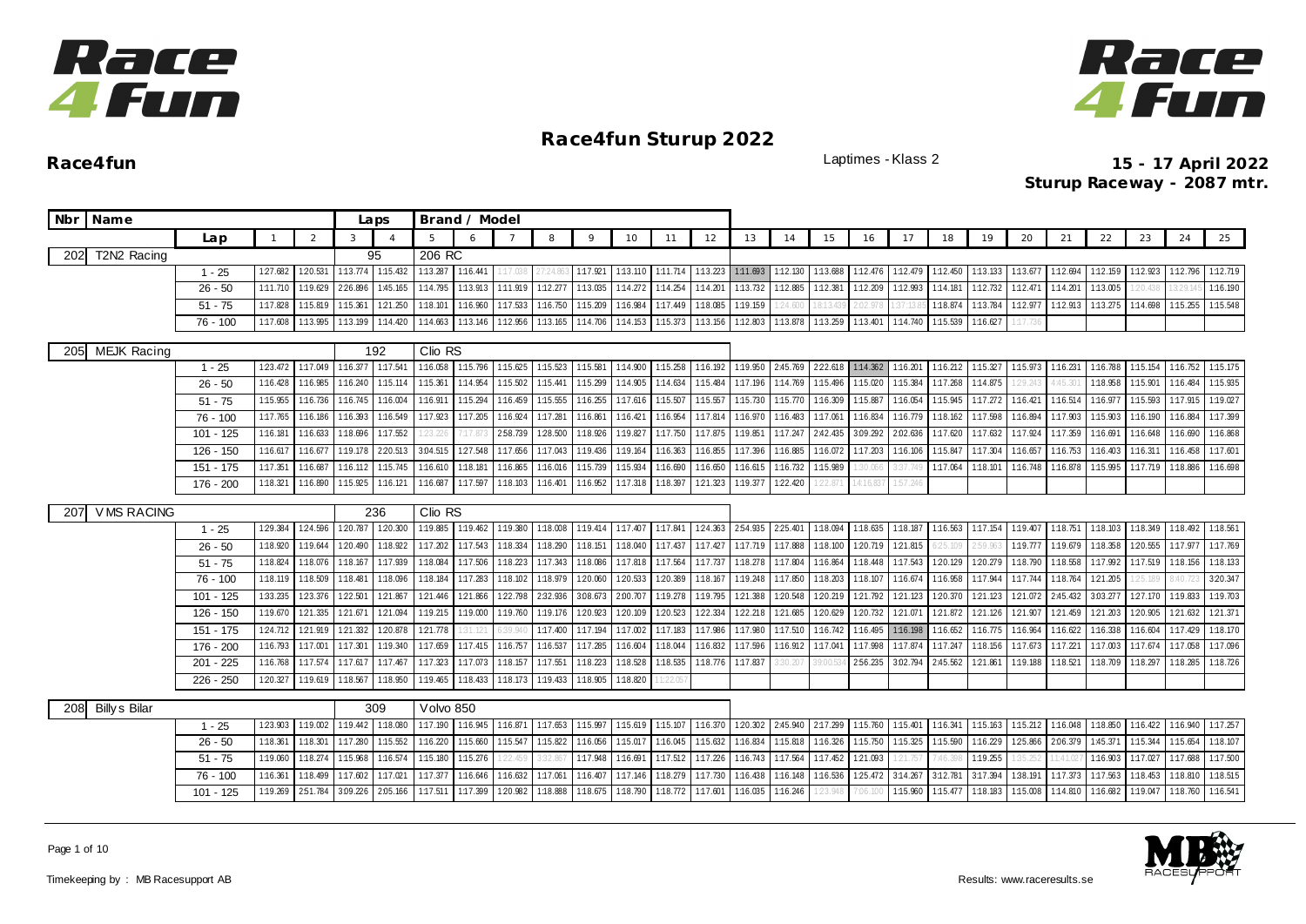



|     | Nbr Name             |                        |                      |                      |                      | Laps                 |                      | Brand / Model        |                    |                    |                      |                      |                      |                      |                      |                      |                      |                     |                      |                      |                      |                    |                     |                      |                      |                      |                      |
|-----|----------------------|------------------------|----------------------|----------------------|----------------------|----------------------|----------------------|----------------------|--------------------|--------------------|----------------------|----------------------|----------------------|----------------------|----------------------|----------------------|----------------------|---------------------|----------------------|----------------------|----------------------|--------------------|---------------------|----------------------|----------------------|----------------------|----------------------|
|     |                      | Lap                    | $\overline{1}$       | 2                    | 3                    | $\overline{A}$       |                      | $\epsilon$           |                    | 8                  | 9                    | 10                   | 11                   | 12                   | 13                   | 14                   | 15                   | 16                  | 17                   | 18                   | 19                   | 20                 | 21                  | 22                   | 23                   | 24                   | 25                   |
|     | 202 T2N2 Racing      |                        |                      |                      |                      | 95                   | 206 RC               |                      |                    |                    |                      |                      |                      |                      |                      |                      |                      |                     |                      |                      |                      |                    |                     |                      |                      |                      |                      |
|     |                      | $1 - 25$               | 127.682              | 1:20.531             | 1:13.774             | 1:15.432             | 1:13.287             | 1:16.441             | :17.038            | 7:24.80            | 1:17.921             | 1:13.110             | 1:11.714             | 1:13.223             | 1:11.693             | 1:12.130             | 1:13.688             | 1:12.476            | 1:12.479             | 1:12.450             | 1:13.133             | 1:13.677           | 1:12.694            | 1:12.159             | 1:12.923             | 1:12.796             | 1:12.719             |
|     |                      | $26 - 50$              | 1:11.710             | 1:19.629             | 2:26.896             | 1:45.165             | 1:14.795             | 1:13.913             | 1:11.919           | 1:12.277           | 1:13.035             | 1:14.272             | 1:14.254             | 1:14.201             | 1:13.732             | 1:12.885             | 1:12.381             | 1:12.209            | 1:12.993             | 1:14.181             | 1:12.732             | 1:12.471           | 1:14.201            | 1:13.005             | 20.43                | 3:29.14              | 1:16.190             |
|     |                      | $51 - 75$              | 1:17.828             | 1:15.819             | 1:15.361             | 121.250              | 1:18.101             | 1:16.960             | 1:17.533           | 1:16.750           | 1:15.209             | 1:16.984             | 1:17.449             | 1:18.085             | 1:19.159             | 24.600               |                      | 2:02.97             | 37:13                | 1:18.874             | 1:13.784             | 1:12.977           | 1:12.913            | 1:13.275             | 1:14.698             | 1:15.255             | 1:15.548             |
|     |                      | $76 - 100$             | 1:17.608             | 1:13.995             | 1:13.199             | 1:14.420             | 1:14.663             | 1:13.146             | 1:12.956           | 1:13.165           | 1:14.706             | 1:14.153             | 1:15.373             | 1:13.156             | 1:12.803             | 1:13.878             | 1:13.259             | 1:13.401            | 1:14.740             | 1:15.539             | 1:16.627             |                    |                     |                      |                      |                      |                      |
| 205 | <b>MEJK Racing</b>   |                        |                      |                      |                      | 192                  | Clio RS              |                      |                    |                    |                      |                      |                      |                      |                      |                      |                      |                     |                      |                      |                      |                    |                     |                      |                      |                      |                      |
|     |                      | $1 - 25$               | 123.472              | 1:17.049             | 1:16.377             | 1:17.541             | 1:16.058             | 1:15.796             | 1:15.625           | 1:15.523           | 1:15.581             | 1:14.900             | 1:15.258             | 1:16.192             | 1:19.950             | 2:45.769             | 222.618              | 1:14.362            | 1:16.201             | 1:16.212             | 1:15.327             | 1:15.973           | 1:16.231            | 1:16.788             | 1:15.154             | 1:16.752             | 1:15.175             |
|     |                      | $26 - 50$              | 1:16.428             | 1:16.985             | 1:16.240             | 1:15.114             | 1:15.361             | 1:14.954             | 1:15.502           | 1:15.441           | 1:15.299             | 1:14.905             | 1:14.634             | 1:15.484             | 1:17.196             | 1:14.769             | 1:15.496             | 1:15.020            | 1:15.384             | 1:17.268             | 1:14.875             | 129.243            | 1:45.30             | 1:18.958             | 1:15.901             | 1:16.484             | 1:15.935             |
|     |                      | $51 - 75$              | 1:15.955             | 1:16.736             | 1:16.745             | 1:16.004             | 1:16.911             | 1:15.294             | 1:16.459           | 1:15.555           | 1:16.255             | 1:17.616             | 1:15.507             | 1:15.557             | 1:15.730             | 1:15.770             | 1:16.309             | 1:15.887            | 1:16.054             | 1:15.945             | 1:17.272             | 1:16.421           | 1:16.514            | 1:16.977             | 1:15.593             | 1:17.915             | 1:19.027             |
|     |                      | $76 - 100$             | 1:17.765             | 1:16.186             | 1:16.393             | 1:16.549             | 1:17.923             | 1:17.205             | 1:16.924           | 1:17.281           | 1:16.861             | 1:16.421             | 1:16.954             | 1:17.814             | 1:16.970             | 1:16.483             | 1:17.061             | 1:16.834            | 1:16.779             | 1:18.162             | 1:17.598             | 1:16.894           | 1:17.903            | 1:15.903             | 1:16.190             | 1:16.884             | 1:17.399             |
|     |                      | $101 - 125$            | 1:16.181             | 1:16.633             | 1:18.696             | 1:17.552             | :23.226              | 7:17.87              | 258.739            | 128.500            | 1:18.926             | 1:19.827             | 1:17.750             | 1:17.875             | 1:19.851             | 1:17.247             | 2:42.435             | 3:09.292            | 2.02.636             | 1:17.620             | 1:17.632             | 1:17.924           | 1:17.359            | 1:16.691             | 1:16.648             | 1:16.690             | 1:16.868             |
|     |                      | $126 - 150$            | 1:16.617             | 1:16.677             | 1:19.178             | 2:20.513             | 3:04.515             | 1:27.548             | 1:17.656           | 1:17.043           | 1:19.436             | 1:19.164             | 1:16.363             | 1:16.855             | 1:17.396             | 1:16.885             | 1:16.072             | 1:17.203            | 1:16.106             | 1:15.847             | 1:17.304             | 1:16.657           | 1:16.753            | 1:16.403             | 1:16.311             | 1:16.458             | 1:17.601             |
|     |                      | $151 - 175$            | 1:17.351             | 1:16.687             | 1:16.112             | 1:15.745             | 1:16.610             | 1:18.181             | 1:16.865           | 1:16.016           | 1:15.739             | 1:15.934             | 1:16.690             | 1:16.650             | 1:16.615             | 1:16.732             | 1:15.989             | 30.06               | 37.74                | 1:17.064             | 1:18.101             | 1:16.748           | 1:16.878            | 1:15.995             | 1:17.719             | 1:18.886             | 1:16.698             |
|     |                      | 176 - 200              | 1:18.321             | 1:16.890             | 1:15.925             | 1:16.121             | 1:16.687             | 1:17.597             | 1:18.103           | 1:16.401           | 1:16.952             | 1:17.318             | 1:18.397             | 1:21.323             | 1:19.377             | 1:22.420             |                      | 4:16.83             | 1:57.246             |                      |                      |                    |                     |                      |                      |                      |                      |
|     | <b>VMS RACING</b>    |                        |                      |                      |                      |                      | Clio RS              |                      |                    |                    |                      |                      |                      |                      |                      |                      |                      |                     |                      |                      |                      |                    |                     |                      |                      |                      |                      |
| 207 |                      | $1 - 25$               | 1:29.384             | 1:24.596             | 1:20.787             | 236<br>1:20.300      | 1:19.885             | 1:19.462             | 1:19.380           | 1:18.008           | 1:19.414             | 1:17.407             | 1:17.841             | 124.363              | 2:54.935             | 2:25.401             | 1:18.094             | 1:18.635            | 1:18.187             | 1:16.563             | 1:17.154 1:19.407    |                    | 1:18.751            | 1:18.103             | 1:18.349             | 1:18.492             | 1:18.561             |
|     |                      | $26 - 50$              | 1:18.920             | 1:19.644             | 1:20.490             | 1:18.922             | 1:17.202             | 1:17.543             | 1:18.334           | 1:18.290           | 1:18.151             | 1:18.040             | 1:17.437             | 1:17.427             | 1:17.719             | 1:17.888             | 1:18.100             | 1:20.719            | 121.815              | 5:25.109             | :59.96               | 1:19.777           | 1:19.679            | 1:18.358             | 1:20.555             | 1:17.977             | 1:17.769             |
|     |                      | $51 - 75$              | 1:18.824             | 1:18.076             | 1:18.167             | 1:17.939             | 1:18.084             | 1:17.506             | 1:18.223           | 1:17.343           | 1:18.086             | 1:17.818             | 1:17.564             | 1:17.737             | 1:18.278             | 1:17.804             | 1:16.864             | 1:18.448            | 1:17.543             | 1:20.129             | 1:20.279             | 1:18.790           | 1:18.558            | 1:17.992             | 1:17.519             | 1:18.156             | 1:18.133             |
|     |                      | 76 - 100               | 1:18.119             | 1:18.509             | 1:18.48              | 1:18.096             | 1:18.184             | 1:17.283             | 1:18.102           | 1:18.979           | 1:20.060             | 1:20.533             | 1:20.389             | 1:18.167             | 1:19.248             | 1:17.850             | 1:18.203             | 1:18.10             | 1:16.674             | 1:16.958             | 1:17.944             | 1:17.744           | 1:18.764            | 1:21.205             | 25.18                |                      | 3:20.347             |
|     |                      | $101 - 125$            | 1:33.235             | 123.376              | 1:22.501             | 121.867              | 121.446              | 1:21.866             | 122.798            | 2:32.936           | 3.08.673             | 2:00.707             | 1:19.278             | 1:19.795             | 121.388              | 120.548              | 120.219              | 121.792             | 121.123              | 120.370              | 121.123              | 121.072            | 2:45.432            | 3.03.277             | 127.170              | 1:19.833             | 1:19.703             |
|     |                      | $126 - 150$            | 1:19.670             | 121.335              | 121.671              | 121.094              | 1:19.215             | 1:19.000             | 1:19.760           | 1:19.176           | 120.923              | 1:20.109             | 1:20.523             | 1:22.334             | 122.218              | 121.685              | 120.629              | 1:20.732            | 121.071              | 121.872              | 121.126              | 121.907            | 1:21.459            | 121.203              | 1:20.905             | 121.632              | 121.371              |
|     |                      | 151 - 175              | 124.712              | 121.919              | 121.332              | 1:20.878             | 121.778              | 1:31.121             |                    | 1:17.400           | 1:17.194             | 1:17.002             | 1:17.183             | 1:17.986             | 1:17.980             | 1:17.510             | 1:16.742             | 1:16.495            | 1:16.198             | 1:16.652             | 1:16.775             | 1:16.964           | 1:16.622            | 1:16.338             | 1:16.604             | 1:17.429             | 1:18.170             |
|     |                      | 176 - 200              | 1:16.793             | 1:17.001             | 1:17.301             | 1:19.340             | 1:17.659             | 1:17.415             | 1:16.757           | 1:16.537           | 1:17.285             | 1:16.604             | 1:18.044             | 1:16.832             | 1:17.596             | 1:16.912             | 1:17.041             | 1:17.998            | 1:17.874             | 1:17.247             | 1:18.156             | 1:17.673           | 1:17.22             | 1:17.003             | 1:17.674             | 1:17.058             | 1:17.096             |
|     |                      | $201 - 225$            | 1:16.768             | 1:17.574             | 1:17.617             | 1:17.467             | 1:17.323             | 1:17.073             | 1:18.157           | 1:17.551           | 1:18.223             | 1:18.528             | 1:18.535             | 1:18.776             | 1:17.837             | :30.201              | 9:00.5               | 2:56.235            | 3:02.794             | 2:45.562             | 1:21.861             | 1:19.188           | 1:18.521            | 1:18.709             | 1:18.297             | 1:18.285             | 1:18.726             |
|     |                      | $226 - 250$            | 120.327              | 1:19.619             | 1:18.567             | 1:18.950             | 1:19.465             | 1:18.433             | 1:18.173           | 1:19.433           | 1:18.905             | 1:18.820             |                      |                      |                      |                      |                      |                     |                      |                      |                      |                    |                     |                      |                      |                      |                      |
|     |                      |                        |                      |                      |                      |                      |                      |                      |                    |                    |                      |                      |                      |                      |                      |                      |                      |                     |                      |                      |                      |                    |                     |                      |                      |                      |                      |
| 208 | <b>Billy s Bilar</b> |                        |                      |                      |                      | 309                  | Volvo 850            |                      |                    |                    |                      |                      |                      |                      |                      |                      |                      |                     |                      |                      |                      |                    |                     |                      |                      |                      |                      |
|     |                      | $1 - 25$               | 1:23.903             | 1:19.002             | 1:19.442<br>1:17.280 | 1:18.080<br>1:15.552 | 1:17.190             | 1:16.945<br>1:15.660 | 1:16.871           | 1:17.653           | 1:15.997<br>1:16.056 | 1:15.619<br>1:15.017 | 1:15.107<br>1:16.045 | 1:16.370<br>1:15.632 | 1:20.302             | 2:45.940<br>1:15.818 | 2:17.299<br>1:16.326 | 1:15.760            | 1:15.401             | 1:16.341             | 1:15.163             | 1:15.212           | 1:16.048            | 1:18.850<br>1:45.371 | 1:16.422<br>1:15.344 | 1:16.940<br>1:15.654 | 1:17.257<br>1:18.107 |
|     |                      | $26 - 50$<br>$51 - 75$ | 1:18.361<br>1:19.060 | 1:18.301<br>1:18.274 | 1:15.968             | 1:16.574             | 1:16.220<br>1:15.180 | 1:15.276             | 1:15.547<br>22.459 | 1:15.822<br>32.867 | 1:17.948             | 1:16.691             | 1:17.512             | 1:17.226             | 1:16.834<br>1:16.743 | 1:17.564             | 1:17.452             | 1:15.750<br>121.093 | 1:15.325<br>1:21.757 | 1:15.590<br>7:46.398 | 1:16.229<br>1:19.255 | 1:25.866<br>35.252 | 2:06.379<br>1:41.02 | 1:16.903             | 1:17.027             | 1:17.688             | 1:17.500             |
|     |                      | 76 - 100               | 1:16.361             | 1:18.499             | 1:17.602             | 1:17.02              | 1:17.377             | 1:16.646             | 1:16.632           | 1:17.061           | 1:16.407             | 1:17.146             | 1:18.279             | 1:17.730             | 1:16.438             | 1:16.148             | 1:16.536             | 1:25.472            | 3:14.267             | 3:12.781             | 3:17.394             | 1:38.191           | 1:17.373            | 1:17.563             | 1:18.453             | 1:18.810             | 1:18.515             |
|     |                      | $101 - 125$            | 1:19.269             | 251.784              | 3:09.226             | 2:05.166             | 1:17.511             | 1:17.399             | 1:20.982           | 1:18.888           | 1:18.675             | 1:18.790             | 1:18.772             | 1:17.601             | 1:16.035             | 1:16.246             |                      |                     | 1:15.960             | 1:15.477             | 1:18.183             | 1:15.008           | 1:14.810            | 1:16.682             | 1:19.047             | 1:18.760             | 1:16.541             |
|     |                      |                        |                      |                      |                      |                      |                      |                      |                    |                    |                      |                      |                      |                      |                      |                      |                      |                     |                      |                      |                      |                    |                     |                      |                      |                      |                      |

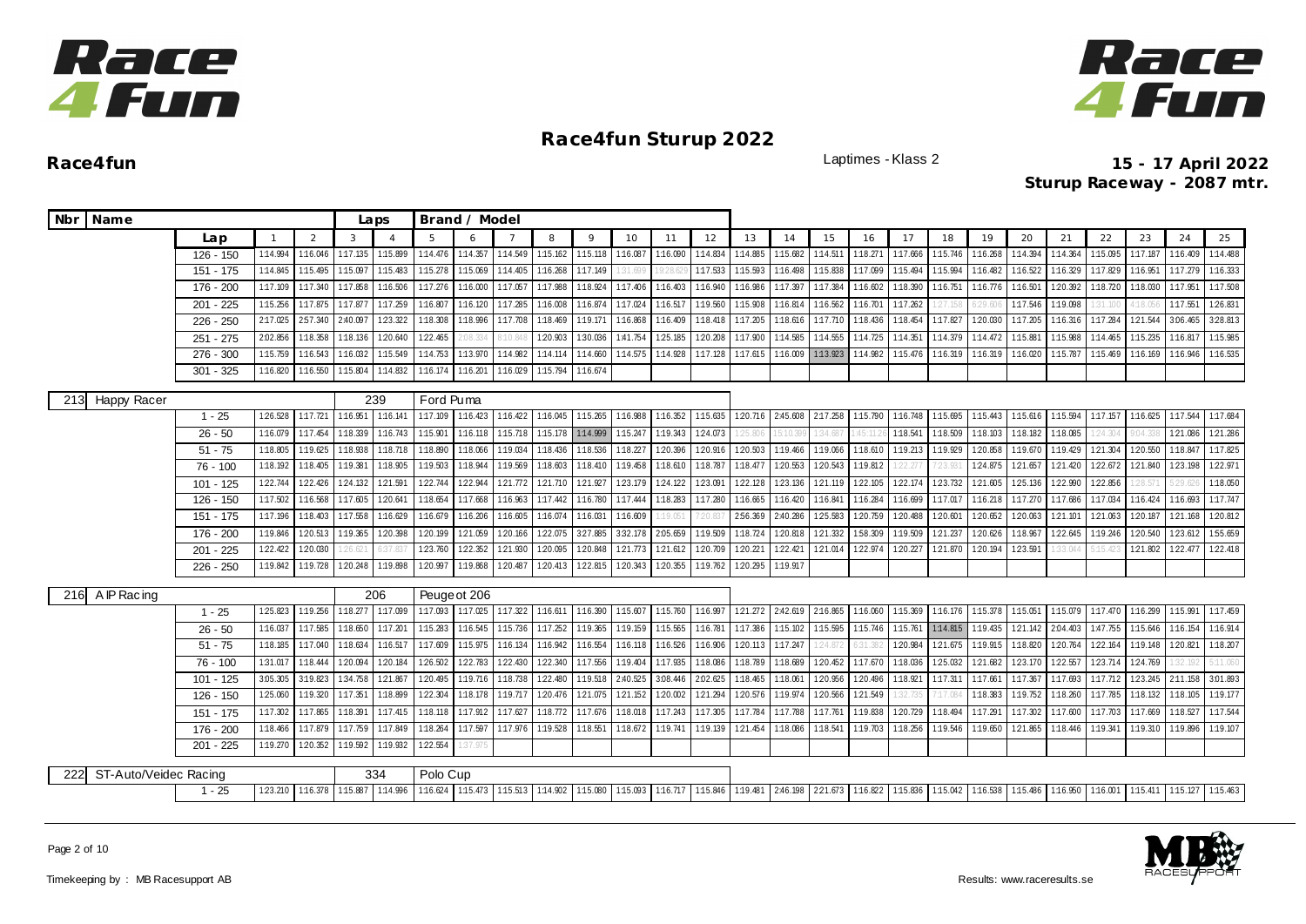



**Race4fun** Laptimes - Klass 2 **15 - 17 April 2022 Sturup Raceway - 2087 mtr.**

| Nbr Name                     |                                               |          |          |          | Laps     |              | Brand / Model     |          |          |          |                   |          |          |          |          |          |          |          |          |          |          |          |          |          |          |          |
|------------------------------|-----------------------------------------------|----------|----------|----------|----------|--------------|-------------------|----------|----------|----------|-------------------|----------|----------|----------|----------|----------|----------|----------|----------|----------|----------|----------|----------|----------|----------|----------|
|                              | Lap                                           |          | 2        | 3        | $\Delta$ | 5            | 6                 |          | 8        | $\circ$  | 10                | 11       | 12       | 13       | 14       | 15       | 16       | 17       | 18       | 19       | 20       | 21       | 22       | 23       | 24       | 25       |
|                              | $126 - 150$                                   | 1:14.994 | 1:16.046 | 1:17.135 | 1:15.899 | 1:14.476     | 1:14.357          | 1:14.549 | 1:15.162 | 1:15.118 | 1:16.087          | 1:16.090 | 1:14.834 | 1:14.885 | 1:15.682 | 1:14.511 | 1:18.27  | 1:17.666 | 1:15.746 | 1:16.268 | 1:14.394 | 1:14.364 | 1:15.095 | 1:17.187 | 1:16.409 | 1:14.488 |
|                              | 151 - 175                                     | 1:14.845 | 1:15.495 | 1:15.097 | 1:15.483 | 1:15.278     | 1:15.069          | 1:14.405 | 1:16.268 | 1:17.149 | :31.699           |          | 1:17.533 | 1:15.593 | 1:16.498 | 1:15.838 | 1:17.099 | 1:15.494 | 1:15.994 | 1:16.482 | 1:16.522 | 1:16.329 | 1:17.829 | 1:16.951 | 1:17.279 | 1:16.333 |
|                              | 176 - 200                                     | 1:17.109 | 1:17.340 | 1:17.858 | 1:16.506 | 1:17.276     | 1:16.000          | 1:17.057 | 1:17.988 | 1:18.924 | 1:17.406          | 1:16.403 | 1:16.940 | 1:16.986 | 1:17.397 | 1:17.384 | 1:16.602 | 1:18.390 | 1:16.751 | 1:16.776 | 1:16.501 | 1:20.392 | 1:18.720 | 1:18.030 | 1:17.951 | 1:17.508 |
|                              | $201 - 225$                                   | 1:15.256 | 1:17.875 | 1:17.877 | 1:17.259 | 1:16.807     | 1:16.120          | 1:17.285 | 1:16.008 | 1:16.874 | 1:17.024          | 1:16.517 | 1:19.560 | 1:15.908 | 1:16.814 | 1:16.562 | 1:16.701 | 1:17.262 | 127.158  | 6:29.60  | 1:17.546 | 1:19.098 | 31,100   | 18.05    | 1:17.551 | 126.831  |
|                              | 226 - 250                                     | 2:17.025 | 257.340  | 2:40.097 | 1:23.322 | 1:18.308     | 1:18.996          | 1:17.708 | 1:18.469 | 1:19.171 | 1:16.868          | 1:16.409 | 1:18.418 | 1:17.205 | 1:18.616 | 1:17.710 | 1:18.436 | 1:18.454 | 1:17.827 | 1:20.030 | 1:17.205 | 1:16.316 | 1:17.284 | 121.544  | 3:06.465 | 3:28.813 |
|                              | 251 - 275                                     | 2:02.856 | 1:18.358 | 1:18.136 | 1:20.640 | 1:22.465     | :08.334           | :10.848  | 1:20.903 | 1:30.036 | 1:41.754          | 125.185  | 1:20.208 | 1:17.900 | 1:14.585 | 1:14.555 | 1:14.725 | 1:14.351 | 1:14.379 | 1:14.472 | 1:15.881 | 1:15.988 | 1:14.465 | 1:15.235 | 1:16.817 | 1:15.985 |
|                              | $276 - 300$                                   | 1:15.759 | 1:16.543 | 1:16.032 | 1:15.549 | 1:14.753     | 1:13.970          | 1:14.982 | 1:14.114 | 1:14.660 | 1:14.575          | 1:14.928 | 1:17.128 | 1:17.615 | 1:16.009 | 1:13.923 | 1:14.982 | 1:15.476 | 1:16.319 | 1:16.319 | 1:16.020 | 1:15.787 | 1:15.469 | 1:16.169 | 1:16.946 | 1:16.535 |
|                              | $301 - 325$                                   | 1:16.820 | 1:16.550 | 1:15.804 | 1:14.832 | 1:16.174     | 1:16.201          | 1:16.029 | 1:15.794 | 1:16.674 |                   |          |          |          |          |          |          |          |          |          |          |          |          |          |          |          |
| 213 Happy Racer              |                                               |          |          |          | 239      | Ford Puma    |                   |          |          |          |                   |          |          |          |          |          |          |          |          |          |          |          |          |          |          |          |
|                              | $1 - 25$                                      | 126.528  | 1:17.721 | 1:16.951 | 1:16.141 | 1:17.109     | 1:16.423          | 1:16.422 | 1:16.045 | 1:15.265 | 1:16.988          | 1:16.352 | 1:15.635 | 120.716  | 2:45.608 | 2:17.258 | 1:15.790 | 1:16.748 | 1:15.695 | 1:15.443 | 1:15.616 | 1:15.594 | 1:17.157 | 1:16.625 | 1:17.544 | 1:17.684 |
|                              | $26 - 50$                                     | 1:16.079 | 1:17.454 | 1:18.339 | 1:16.743 | 1:15.901     | 1:16.118          | 1:15.718 | 1:15.178 | 1:14.999 | 1:15.247          | 1:19.343 | 1:24.073 | 125.80   | 5:10.39  | 1:34.687 | 45:11.   | 1:18.54  | 1:18.509 | 1:18.103 | 1:18.182 | 1:18.085 | 24.304   | 0.04.33  | 1:21.086 | 121.286  |
|                              | $51 - 75$                                     | 1:18.805 | 1:19.625 | 1:18.938 | 1:18.718 | 1:18.890     | 1:18.066          | 1:19.034 | 1:18.436 | 1:18.536 | 1:18.227          | 1:20.396 | 1:20.916 | 1:20.503 | 1:19.466 | 1:19.066 | 1:18.610 | 1:19.213 | 1:19.929 | 1:20.858 | 1:19.670 | 1:19.429 | 1:21.304 | 1:20.550 | 1:18.847 | 1:17.825 |
|                              | $76 - 100$                                    | 1:18.192 | 1:18.405 | 1:19.381 | 1:18.905 | 1:19.503     | 1:18.944          | 1:19.569 | 1:18.603 | 1:18.410 | 1:19.458          | 1:18.610 | 1:18.787 | 1:18.477 | 1:20.553 | 1:20.543 | 1:19.812 | 122.27   | 7:23.931 | 124.875  | 121.657  | 1:21.420 | 122.672  | 121.840  | 123.198  | 122.971  |
|                              | 101 - 125                                     | 1:22.744 | 1:22.42  | 1:24.132 | 1:21.591 | 1:22.744     | 1:22.944          | 121.772  | 1:21.710 | 1:21.927 | 123.179           | 1:24.122 | 1:23.091 | 1:22.128 | 1:23.136 | 121.119  | 1:22.105 | 122.174  | 1:23.732 | 1:21.605 | 1:25.136 | 1:22.990 | 1:22.856 |          |          | 1:18.050 |
|                              | $126 - 150$                                   | 1:17.502 | 1:16.568 | 1:17.605 | 1:20.641 | 1:18.654     | 1:17.668          | 1:16.963 | 1:17.442 | 1:16.780 | 1:17.444          | 1:18.283 | 1:17.280 | 1:16.665 | 1:16.420 | 1:16.841 | 1:16.284 | 1:16.699 | 1:17.017 | 1:16.218 | 1:17.270 | 1:17.686 | 1:17.034 | 1:16.424 | 1:16.693 | 1:17.747 |
|                              | $151 - 175$                                   | 1:17.196 | 1:18.403 | 1:17.558 | 1:16.629 | 1:16.679     | 1:16.206          | 1:16.605 | 1:16.074 | 1:16.031 | 1:16.609          |          | 20.83    | 2:56.369 | 2:40.286 | 1:25.583 | 1:20.759 | 1:20.488 | 1:20.60  | 1:20.652 | 1:20.063 | 121.10   | 1:21.063 | 1:20.187 | 1:21.168 | 1:20.812 |
|                              | 176 - 200                                     | 1:19.846 | 1:20.513 | 1:19.365 | 1:20.398 | 1:20.199     | 1:21.059          | 1:20.166 | 1:22.075 | 3:27.885 | 3:32.178          | 2:05.659 | 1:19.509 | 1:18.724 | 1:20.818 | 121.332  | 1:58.309 | 1:19.50  | 1:21.237 | 1:20.626 | 1:18.967 | 1:22.645 | 1:19.246 | 1:20.540 | 1:23.612 | 1:55.659 |
|                              | $201 - 225$                                   | 1:22.422 | 1:20.030 | 26.621   | 37.83    | 1:23.760     | 122.352           | 121.930  | 120.095  | 1:20.848 | 121.773           | 121.612  | 1:20.709 | 1:20.221 | 1:22.421 | 1:21.014 | 1:22.974 | 1:20.227 | 1:21.870 | 1:20.194 | 1:23.591 | 33.04    | (15.42)  | 1:21.802 | 122.477  | 122.418  |
|                              | $226 - 250$                                   | 1:19.842 | 1:19.728 | 1:20.248 | 1:19.898 | 1:20.997     | 1:19.868          | 120.487  | 120.413  | 122.815  | 120.343           | 1:20.355 | 1:19.762 | 1:20.295 | 1:19.917 |          |          |          |          |          |          |          |          |          |          |          |
| 216 A IP Racing              |                                               |          |          |          | 206      | Peuge ot 206 |                   |          |          |          |                   |          |          |          |          |          |          |          |          |          |          |          |          |          |          |          |
|                              | $1 - 25$                                      | 1:25.823 | 1:19.256 | 1:18.277 | 1:17.099 | 1:17.093     | 1:17.025 1:17.322 |          | 1:16.611 | 1:16.390 | 1:15.607          | 1:15.760 | 1:16.997 | 121.272  | 2:42.619 | 2:16.865 | 1:16.060 | 1:15.369 | 1:16.176 | 1:15.378 | 1:15.051 | 1:15.079 | 1:17.470 | 1:16.299 | 1:15.991 | 1:17.459 |
|                              | $26 - 50$                                     | 1:16.037 | 1:17.585 | 1:18.650 | 1:17.201 | 1:15.283     | 1:16.545          | 1:15.736 | 1:17.252 | 1:19.365 | 1:19.159          | 1:15.565 | 1:16.781 | 1:17.386 | 1:15.102 | 1:15.595 | 1:15.746 | 1:15.761 | 1:14.815 | 1:19.435 | 121.142  | 2:04.403 | 1:47.755 | 1:15.646 | 1:16.154 | 1:16.914 |
|                              | $51 - 75$                                     | 1:18.185 | 1:17.040 | 1:18.634 | 1:16.517 | 1:17.609     | 1:15.975          | 1:16.134 | 1:16.942 | 1:16.554 | 1:16.118          | 1:16.526 | 1:16.906 | 1:20.113 | 1:17.247 | 1:24.872 | 6:31.38  | 1:20.984 | 121.675  | 1:19.915 | 1:18.820 | 1:20.764 | 1:22.164 | 1:19.148 | 1:20.821 | 1:18.207 |
|                              | 76 - 100                                      | 1:31.017 | 1:18.444 | 1:20.094 | 1:20.184 | 1:26.502     | 122.783           | 122.430  | 1:22.340 | 1:17.556 | 1:19.404          | 1:17.935 | 1:18.086 | 1:18.789 | 1:18.689 | 120.452  | 1:17.670 | 1:18.036 | 1:25.032 | 121.682  | 123.170  | 122.557  | 123.714  | 124.769  |          | 5:11.060 |
|                              | $101 - 125$                                   | 3.05.305 | 3:19.823 | 1:34.758 | 121.867  | 1:20.495     | 1:19.716          | 1:18.738 | 1:22.480 | 1:19.518 | 2:40.525          | 3:08.446 | 2:02.625 | 1:18.465 | 1:18.061 | 120.956  | 1:20.496 | 1:18.921 | 1:17.311 | 1:17.661 | 1:17.367 | 1:17.693 | 1:17.712 | 123.245  | 2:11.158 | 3:01.893 |
|                              | 126 - 150                                     | 1:25.060 | 1:19.320 | 1:17.351 | 1:18.899 | 1:22.304     | 1:18.178          | 1:19.717 | 1:20.476 | 1:21.075 | 1:21.152          | 1:20.002 | 1:21.294 | 1:20.576 | 1:19.974 | 1:20.566 | 1:21.549 | 1:32.73  | 7:17.084 | 1:18.383 | 1:19.752 | 1:18.260 | 1:17.785 | 1:18.132 | 1:18.105 | 1:19.177 |
|                              | 151 - 175                                     | 1:17.302 | 1:17.865 | 1:18.391 | 1:17.415 | 1:18.118     | 1:17.912          | 1:17.627 | 1:18.772 | 1:17.676 | 1:18.018          | 1:17.243 | 1:17.305 | 1:17.784 | 1:17.788 | 1:17.761 | 1:19.838 | 1:20.729 | 1:18.494 | 1:17.291 | 1:17.302 | 1:17.600 | 1:17.703 | 1:17.669 | 1:18.527 | 1:17.544 |
|                              | 176 - 200<br>1:18.466<br>1:17.879<br>1:19.270 |          |          |          |          |              | 1:17.597          | 1:17.976 | 1:19.528 | 1:18.551 | 1:18.672          | 1:19.741 | 1:19.139 | 121.454  | 1:18.086 | 1:18.541 | 1:19.703 | 1:18.256 | 1:19.546 | 1:19.650 | 1:21.865 | 1:18.446 | 1:19.341 | 1:19.310 | 1:19.896 | 1:19.107 |
|                              | 201 - 225                                     | 120.352  | 1:19.592 | 1:19.932 | 1:22.554 | 37.975       |                   |          |          |          |                   |          |          |          |          |          |          |          |          |          |          |          |          |          |          |          |
| ST-Auto/Veidec Racing<br>222 |                                               |          |          | 334      | Polo Cup |              |                   |          |          |          |                   |          |          |          |          |          |          |          |          |          |          |          |          |          |          |          |
|                              | $1 - 25$                                      | 1:16.378 | 1:15.887 | 1:14.996 | 1:16.624 | 1:15.473     | 1:15.513          | 1:14.902 | 1:15.080 | 1:15.093 | 1:16.717 1:15.846 |          | 1:19.481 | 2:46.198 | 221.673  | 1:16.822 | 1:15.836 | 1:15.042 | 1:16.538 | 1:15.486 | 1:16.950 | 1:16.001 | 1:15.411 | 1:15.127 | 1:15.463 |          |
|                              |                                               | 1:23.210 |          |          |          |              |                   |          |          |          |                   |          |          |          |          |          |          |          |          |          |          |          |          |          |          |          |



Page 2 of 10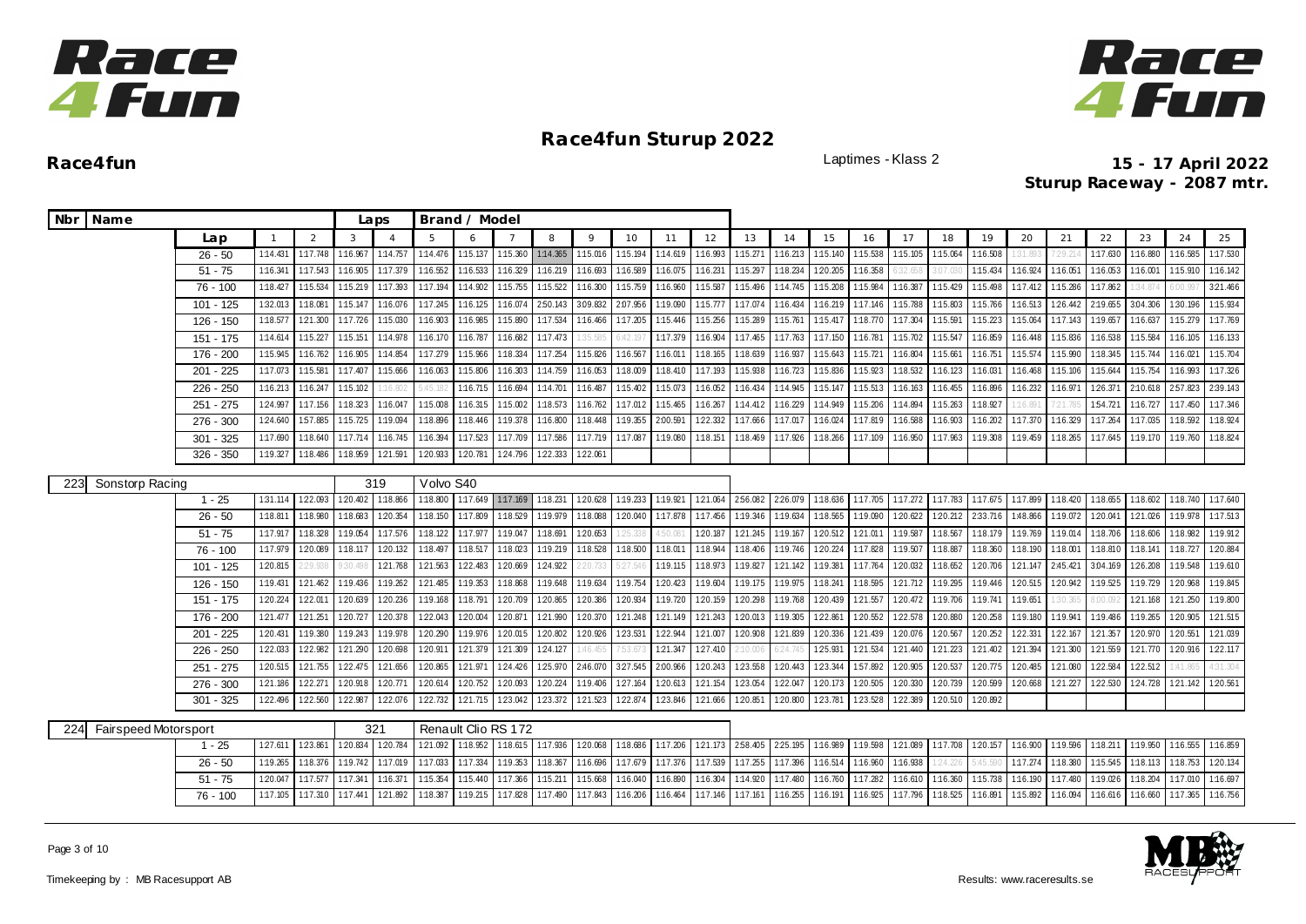



| Nbr Name |                             |                          |                      |                      |                      | Laps                 |                      | Brand / Model              |                      |                      |                      |                      |                      |                      |                           |                      |                     |                      |                      |                      |                      |                     |                      |                      |                      |                      |                      |
|----------|-----------------------------|--------------------------|----------------------|----------------------|----------------------|----------------------|----------------------|----------------------------|----------------------|----------------------|----------------------|----------------------|----------------------|----------------------|---------------------------|----------------------|---------------------|----------------------|----------------------|----------------------|----------------------|---------------------|----------------------|----------------------|----------------------|----------------------|----------------------|
|          |                             | Lap                      |                      | $\overline{2}$       | 3                    | $\overline{A}$       | 5                    | 6                          |                      | 8                    | $\circ$              | 10                   | 11                   | 12                   | 13                        | 14                   | 15                  | 16                   | 17                   | 18                   | 19                   | 20                  | 21                   | 22                   | 23                   | 24                   | 25                   |
|          |                             | $26 - 50$                | 1:14.431             | 1:17.748             | 1:16.967             | 1:14.757             | 1:14.476             | 1:15.137 1:15.360          |                      | 1:14.365             | 1:15.016             | 1:15.194             | 1:14.619             | 1:16.993             | 1:15.271                  | 1:16.213             | 1:15.140            | 1:15.538             | 1:15.105             | 1:15.064             | 1:16.508             | 31.893              | 1:29.2               | 1:17.630             | 1:16.880             | 1:16.585             | 1:17.530             |
|          |                             | $51 - 75$                | 1:16.341             | 1:17.543             | 1:16.905             | 1:17.379             | 1:16.552             | 1:16.533                   | 1:16.329             | 1:16.219             | 1:16.693             | 1:16.589             | 1:16.075             | 1:16.231             | 1:15.297                  | 1:18.234             | 1:20.205            | 1:16.358             |                      | 3:07.03              | 1:15.434             | 1:16.924            | 1:16.051             | 1:16.053             | 1:16.00              | 1:15.910             | 1:16.142             |
|          |                             | 76 - 100                 | 1:18.427             | 1:15.534             | 1:15.219             | 1:17.393             | 1:17.194             | 1:14.902                   | 1:15.755             | 1:15.522             | 1:16.300             | 1:15.759             | 1:16.960             | 1:15.587             | 1:15.496                  | 1:14.745             | 1:15.208            | 1:15.984             | 1:16.387             | 1:15.429             | 1:15.498             | 1:17.412            | 1:15.286             | 1:17.862             | 34.87                | :00.997              | 321.466              |
|          |                             | $101 - 125$              | 1:32.013             | 1:18.081             | 1:15.147             | 1:16.076             | 1:17.245             | 1:16.125                   | 1:16.074             | 2:50.143             | 3:09.832             | 2:07.956             | 1:19.090             | 1:15.777             | 1:17.074                  | 1:16.434             | 1:16.219            | 1:17.146             | 1:15.788             | 1:15.803             | 1:15.766             | 1:16.513            | 126.442              | 2:19.655             | 3:04.306             | 1:30.196             | 1:15.934             |
|          |                             | 126 - 150                | 1:18.577             | 121.300              | 1:17.726             | 1:15.030             | 1:16.903             | 1:16.985                   | 1:15.890             | 1:17.534             | 1:16.466             | 1:17.205             | 1:15.446             | 1:15.256             | 1:15.289                  | 1:15.761             | 1:15.417            | 1:18.770             | 1:17.304             | 1:15.591             | 1:15.223             | 1:15.064            | 1:17.143             | 1:19.657             | 1:16.637             | 1:15.279             | 1:17.769             |
|          |                             | 151 - 175                | 1:14.614             | 1:15.227             | 1:15.151             | 1:14.978             | 1:16.170             | 1:16.787                   | 1:16.682             | 1:17.473             | :35.585              | 6:42.19              | 1:17.379             | 1:16.904             | 1:17.465                  | 1:17.763             | 1:17.150            | 1:16.781             | 1:15.702             | 1:15.547             | 1:16.859             | 1:16.448            | 1:15.836             | 1:16.538             | 1:15.584             | 1:16.105             | 1:16.133             |
|          |                             | 176 - 200                | 1:15.945             | 1:16.762             | 1:16.905             | 1:14.854             | 1:17.279             | 1:15.966                   | 1:18.334             | 1:17.254             | 1:15.826             | 1:16.567             | 1:16.011             | 1:18.165             | 1:18.639                  | 1:16.937             | 1:15.643            | 1:15.721             | 1:16.804             | 1:15.661             | 1:16.751             | 1:15.574            | 1:15.990             | 1:18.345             | 1:15.744             | 1:16.021             | 1:15.704             |
|          |                             | 201 - 225                | 1:17.073             | 1:15.581             | 1:17.407             | 1:15.666             | 1:16.063             | 1:15.806                   | 1:16.303             | 1:14.759             | 1:16.053             | 1:18.009             | 1:18.410             | 1:17.193             | 1:15.938                  | 1:16.723             | 1:15.836            | 1:15.923             | 1:18.532             | 1:16.123             | 1:16.031             | 1:16.468            | 1:15.106             | 1:15.644             | 1:15.754             | 1:16.993             | 1:17.326             |
|          |                             | $226 - 250$              | 1:16.213             | 1:16.247             | 1:15.102             | :16.80.              | 5:45.                | 1:16.715                   | 1:16.694             | 1:14.70'             | 1:16.487             | 1:15.402             | 1:15.073             | 1:16.052             | 1:16.434                  | 1:14.945             | 1:15.147            | 1:15.513             | 1:16.163             | 1:16.455             | 1:16.896             | 1:16.232            | 1:16.97              | 126.371              | 2:10.618             | 257.823              | 2:39.143             |
|          |                             | $251 - 275$              | 1:24.997             | 1:17.156             | 1:18.323             | 1:16.047             | 1:15.008             | 1:16.315                   | 1:15.002             | 1:18.573             | 1:16.762             | 1:17.012             | 1:15.465             | 1:16.267             | 1:14.412                  | 1:16.229             | 1:14.949            | 1:15.206             | 1:14.894             | 1:15.263             | 1:18.927             | 1:16.89             | 1:21.7               | 1:54.721             | 1:16.727             | 1:17.450             | 1:17.346             |
|          |                             | $276 - 300$              | 1:24.640             | 1:57.885             | 1:15.725             | 1:19.094             | 1:18.896             | 1:18.446                   | 1:19.378             | 1:16.800             | 1:18.448             | 1:19.355             | 2:00.591             | 122.332              | 1:17.666                  | 1:17.017             | 1:16.024            | 1:17.819             | 1:16.588             | 1:16.903             | 1:16.202             | 1:17.370            | 1:16.329             | 1:17.264             | 1:17.035             | 1:18.592             | 1:18.924             |
|          |                             | $301 - 325$              | 1:17.690             | 1:18.640             | 1:17.714             | 1:16.745             | 1:16.394             | 1:17.523                   | 1:17.709             | 1:17.586             | 1:17.719             | 1:17.087             | 1:19.080             | 1:18.151             | 1:18.469                  | 1:17.926             | 1:18.266            | 1:17.109             | 1:16.950             | 1:17.963             | 1:19.308             | 1:19.459            | 1:18.265             | 1:17.645             | 1:19.170             | 1:19.760             | 1:18.824             |
|          |                             | $326 - 350$              | 1:19.327             | 1:18.486             | 1:18.959             | 1:21.591             | 1:20.933             | 1:20.781                   | 124.796              | 122.333              | 122.061              |                      |                      |                      |                           |                      |                     |                      |                      |                      |                      |                     |                      |                      |                      |                      |                      |
|          |                             |                          |                      |                      |                      |                      |                      |                            |                      |                      |                      |                      |                      |                      |                           |                      |                     |                      |                      |                      |                      |                     |                      |                      |                      |                      |                      |
| 223      | Sonstorp Racing             |                          |                      |                      |                      | 319                  | Volvo S40            |                            |                      |                      |                      |                      |                      |                      |                           |                      |                     |                      |                      |                      |                      |                     |                      |                      |                      |                      |                      |
|          |                             | $1 - 25$                 | 1:31.114             | 122.093              | 1:20.402             | 1:18.866             | 1:18.800             |                            | 1:17.649 1:17.169    | 1:18.231             | 1:20.628             | 1:19.233             | 1:19.921             | 1:21.064             | 256.082 226.079           |                      | 1:18.636            | 1:17.705             | 1:17.272             | 1:17.783             | 1:17.675             | 1:17.899            | 1:18.420             | 1:18.655             | 1:18.602             | 1:18.740             | 1:17.640             |
|          |                             | $26 - 50$                | 1:18.811             | 1:18.980             | 1:18.683             | 1:20.354             | 1:18.150             | 1:17.809                   | 1:18.529             | 1:19.979             | 1:18.088             | 120.040              | 1:17.878             | 1:17.456             | 1:19.346                  | 1:19.634             | 1:18.565            | 1:19.090             | 1:20.622             | 1:20.212             | 2:33.716             | 1:48.866            | 1:19.072             | 1:20.041             | 121.026              | 1:19.978             | 1:17.513             |
|          |                             | $51 - 75$                | 1:17.917             | 1:18.328             | 1:19.054             | 1:17.576             | 1:18.122             | 1:17.977                   | 1:19.047             | 1:18.691             | 1:20.653             | 25.338               | 4:50.081             | 1:20.187             | 121.245                   | 1:19.167             | 1:20.512            | 1:21.011             | 1:19.587             | 1:18.567             | 1:18.179             | 1:19.769            | 1:19.014             | 1:18.706             | 1:18.606             | 1:18.982             | 1:19.912             |
|          |                             | 76 - 100                 | 1:17.979<br>1:20.815 | 1:20.089<br>2:29.938 | 1:18.117<br>9:30.498 | 120.132<br>121.768   | 1:18.497<br>1:21.563 | 1:18.517<br>122.483        | 1:18.023             | 1:19.219             | 1:18.528             | 1:18.500<br>5:27.54  | 1:18.011<br>1:19.115 | 1:18.944<br>1:18.973 | 1:18.406<br>1:19.827      | 1:19.746<br>121.142  | 120.224<br>1:19.381 | 1:17.828<br>1:17.764 | 1:19.507<br>1:20.032 | 1:18.887             | 1:18.360<br>1:20.706 | 1:18.190<br>121.147 | 1:18.001<br>2:45.421 | 1:18.810             | 1:18.141<br>126.208  | 1:18.727             | 1:20.884<br>1:19.610 |
|          |                             | 101 - 125                |                      | 121.462              |                      | 1:19.262             |                      | 1:19.353                   | 1:20.669<br>1:18.868 | 1:24.922<br>1:19.648 | 20.733               | 1:19.754             | 120.423              | 1:19.604             | 1:19.175                  | 1:19.975             | 1:18.241            | 1:18.595             | 121.712              | 1:18.652<br>1:19.295 | 1:19.446             |                     | 1:20.942             | 3:04.169<br>1:19.525 | 1:19.729             | 1:19.548<br>1:20.968 | 1:19.845             |
|          |                             | 126 - 150<br>151 - 175   | 1:19.431<br>1:20.224 | 122.011              | 1:19.436<br>1:20.639 | 1:20.236             | 121.485<br>1:19.168  | 1:18.791                   | 1:20.709             | 1:20.865             | 1:19.634<br>1:20.386 | 1:20.934             | 1:19.720             | 1:20.159             | 1:20.298                  | 1:19.768             | 1:20.439            | 121.557              | 1:20.472             | 1:19.706             | 1:19.741             | 120.515<br>1:19.651 |                      |                      | 1:21.168             | 121.250              | 1:19.800             |
|          |                             |                          |                      |                      |                      |                      |                      |                            |                      |                      |                      |                      |                      | 121.243              |                           |                      |                     |                      | 122.578              |                      | 1:20.258             |                     | :30.36<br>1:19.941   | :00.09               |                      |                      | 121.515              |
|          |                             | 176 - 200<br>$201 - 225$ | 121.477<br>1:20.431  | 121.251<br>1:19.380  | 1:20.727<br>1:19.243 | 1:20.378<br>1:19.978 | 1:22.043<br>1:20.290 | 1:20.004<br>1:19.976       | 1:20.871<br>1:20.015 | 121.990<br>1:20.802  | 1:20.370<br>1:20.926 | 1:21.248<br>1:23.531 | 1:21.149<br>1:22.944 | 1:21.007             | 1:20.013<br>1:20.908      | 1:19.305<br>1:21.839 | 122.861<br>1:20.336 | 1:20.552<br>121.439  | 1:20.076             | 1:20.880<br>1:20.567 | 120.252              | 1:19.180<br>122.331 | 1:22.167             | 1:19.486<br>1:21.357 | 1:19.265<br>1:20.970 | 1:20.905<br>120.551  | 121.039              |
|          |                             | $226 - 250$              | 1:22.033             | 1:22.982             | 1:21.290             | 1:20.698             | 1:20.911             | 1:21.379                   | 121.309              | 124.127              | :46.455              | 7:53.67              | 121.347              | 1:27.410             | 10.006                    | 5:24.745             | 1:25.931            | 1:21.534             | 121.440              | 121.223              | 121.402              | 1:21.394            | 1:21.300             | 121.559              | 1:21.770             | 1:20.916             | 122.117              |
|          |                             | 251 - 275                | 1:20.515             | 121.755              | 122.475              | 121.656              | 1:20.865             | 1:21.971                   | 124.426              | 1:25.970             | 2:46.070             | 327.545              | 2:00.966             | 1:20.243             | 123.558                   | 1:20.443             | 123.344             | 157.892              | 1:20.905             | 1:20.537             | 120.775              | 1:20.485            | 1:21.080             | 122.584              | 122.512              | :41.865              | 4:31.304             |
|          |                             | 276 - 300                | 121.186              | 122.271              | 1:20.918             | 1:20.771             | 1:20.614             | 1:20.752                   | 1:20.093             | 1:20.224             | 1:19.406             | 127.164              | 1:20.613             | 1:21.154             | 123.054                   | 1:22.047             | 1:20.173            | 1:20.505             | 1:20.330             | 1:20.739             | 1:20.599             | 1:20.668            | 1:21.227             | 122.530              | 1:24.728             | 121.142              | 120.561              |
|          |                             | $301 - 325$              | 1:22.496             | 1:22.560             | 1:22.987             | 1:22.076             | 1:22.732             | 121.715                    | 123.042              | 123.372              | 121.523              | 1:22.874             | 123.846              | 1:21.666             | 1:20.851                  | 1:20.800             | 1:23.781            | 1:23.528             | 1:22.389             | 1:20.510             | 1:20.892             |                     |                      |                      |                      |                      |                      |
|          |                             |                          |                      |                      |                      |                      |                      |                            |                      |                      |                      |                      |                      |                      |                           |                      |                     |                      |                      |                      |                      |                     |                      |                      |                      |                      |                      |
| 224      | <b>Fairspeed Motorsport</b> |                          |                      |                      |                      | 321                  |                      |                            | Renault Clio RS 172  |                      |                      |                      |                      |                      |                           |                      |                     |                      |                      |                      |                      |                     |                      |                      |                      |                      |                      |
|          |                             | $1 - 25$                 | 127.611              | 123.861              | 1:20.834             | 120.784              |                      | 1:21.092 1:18.952 1:18.615 |                      |                      | 1:17.936 120.068     | 1:18.686             | 1:17.206             |                      | 121.173 2.58.405 2.25.195 |                      | 1:16.989            | 1:19.598             | 121.089              | 1:17.708             | 120.157              | 1:16.900            | 1:19.596 1:18.211    |                      | 1:19.950             | 1:16.555             | 1:16.859             |
|          |                             | $26 - 50$                | 1:19.265             | 1:18.376             | 1:19.742             | 1:17.019             | 1:17.033             | 1:17.334                   | 1:19.353             | 1:18.367             | 1:16.696             | 1:17.679             | 1:17.376             | 1:17.539             | 1:17.255                  | 1:17.396             | 1:16.514            | 1:16.960             | 1:16.938             | 1:24.22              | 5:45.5               | 1:17.274            | 1:18.380             | 1:15.545             | 1:18.113             | 1:18.753             | 1:20.134             |
|          |                             | $51 - 75$                | 1:20.047             | 1:17.577             | 1:17.341             | 1:16.37              | 1:15.354             | 1:15.440                   | 1:17.366             | 1:15.211             | 1:15.668             | 1:16.040             | 1:16.890             | 1:16.304             | 1:14.920                  | 1:17.480             | 1:16.760            | 1:17.282             | 1:16.610             | 1:16.360             | 1:15.738             | 1:16.190            | 1:17.480             | 1:19.026             | 1:18.204             | 1:17.010             | 1:16.697             |
|          |                             | $76 - 100$               | 1:17.105             | 1:17.310             | 1:17.441             | 1:21.892             | 1:18.387             | 1:19.215                   | 1:17.828             | 1:17.490             | 1:17.843             | 1:16.206             | 1:16.464             | 1:17.146             | 1:17.161                  | 1:16.255             | 1:16.191            | 1:16.925             | 1:17.796             | 1:18.525             | 1:16.891             | 1:15.892            | 1:16.094             | 1:16.616             | 1:16.660             | 1:17.365             | 1:16.756             |

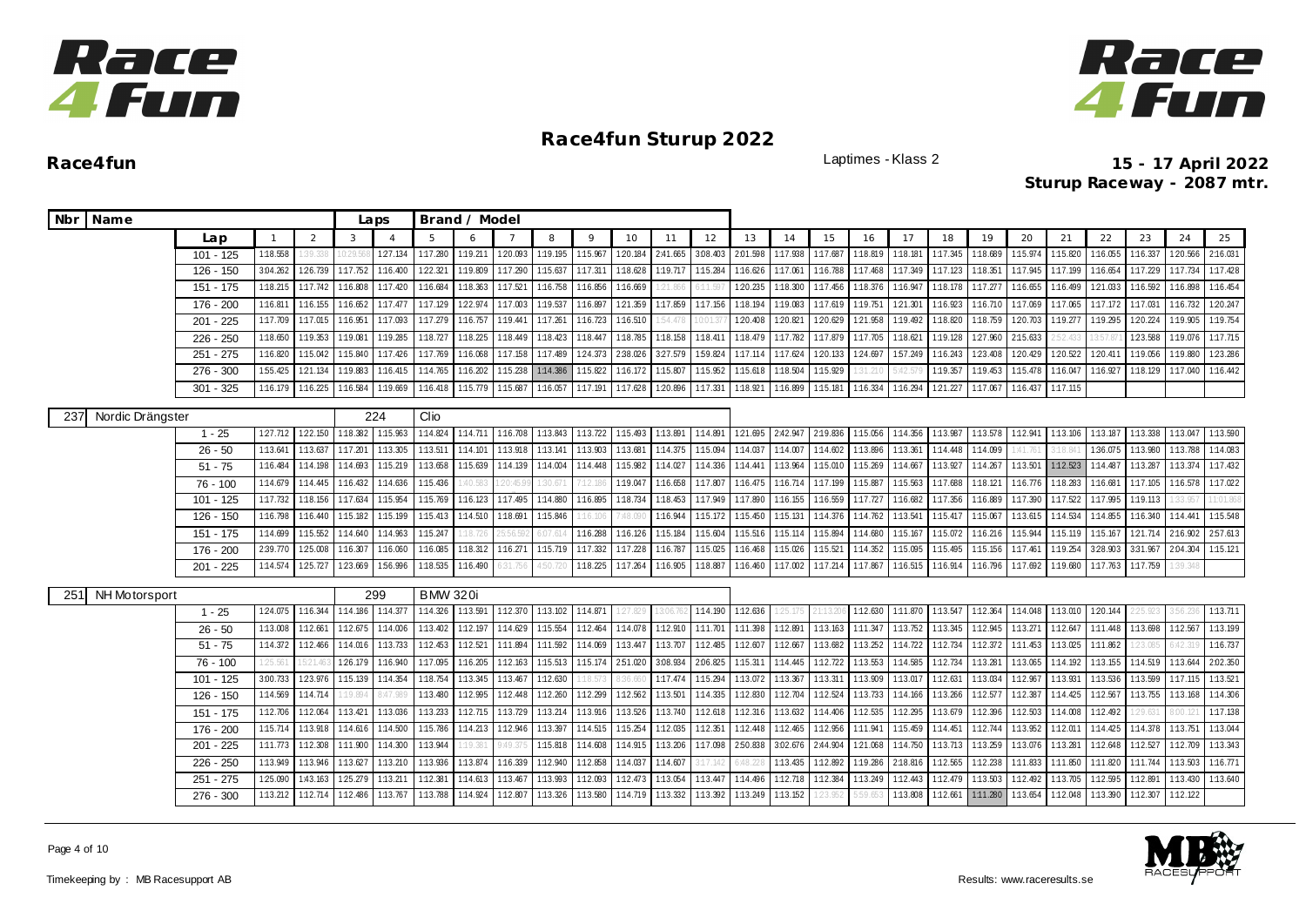



**Race4fun** Laptimes - Klass 2 **15 - 17 April 2022 Sturup Raceway - 2087 mtr.**

| Nbr Name                |             |          |                   |                   | Laps           |                 | Brand / Model              |                   |                   |          |          |          |          |          |                   |          |          |          |          |          |                   |                   |          |          |          |          |
|-------------------------|-------------|----------|-------------------|-------------------|----------------|-----------------|----------------------------|-------------------|-------------------|----------|----------|----------|----------|----------|-------------------|----------|----------|----------|----------|----------|-------------------|-------------------|----------|----------|----------|----------|
|                         | Lap         |          | 2                 | 3                 | $\overline{A}$ | 5               | 6                          | $\overline{7}$    | 8                 | $\circ$  | 10       | 11       | 12       | 13       | 14                | 15       | 16       | 17       | 18       | 19       | 20                | 21                | 22       | 23       | 24       | 25       |
|                         | $101 - 125$ | 1:18.558 | 1:39.338          | 0:29.56           | 1:27.134       | 1:17.280        | 1:19.211                   | 1:20.093          | 1:19.195          | 1:15.967 | 1:20.184 | 2:41.665 | 3.08.403 | 2.01.598 | 1:17.938          | 1:17.687 | 1:18.819 | 1:18.181 | 1:17.345 | 1:18.689 | 1:15.974          | 1:15.820          | 1:16.055 | 1:16.337 | 120.566  | 2:16.031 |
|                         | 126 - 150   | 3:04.262 | 126.739           | 1:17.752          | 1:16.400       | 122.321         | 1:19.809                   | 1:17.290          | 1:15.637          | 1:17.311 | 1:18.628 | 1:19.717 | 1:15.284 | 1:16.626 | 1:17.061          | 1:16.788 | 1:17.468 | 1:17.349 | 1:17.123 | 1:18.351 | 1:17.945          | 1:17.199          | 1:16.654 | 1:17.229 | 1:17.734 | 1:17.428 |
|                         | 151 - 175   | 1:18.215 | 1:17.742          | 1:16.808          | 1:17.420       | 1:16.684        | 1:18.363                   | 1:17.521          | 1:16.758          | 1:16.856 | 1:16.669 | 1:21.866 | 6:11.597 | 120.235  | 1:18.300          | 1:17.456 | 1:18.376 | 1:16.947 | 1:18.178 | 1:17.277 | 1:16.655          | 1:16.499          | 121.033  | 1:16.592 | 1:16.898 | 1:16.454 |
|                         | 176 - 200   | 1:16.811 | 1:16.155          | 1:16.652          | 1:17.477       | 1:17.129        | 122.974                    | 1:17.003          | 1:19.537          | 1:16.897 | 1:21.359 | 1:17.859 | 1:17.156 | 1:18.194 | 1:19.083          | 1:17.619 | 1:19.751 | 1:21.301 | 1:16.923 |          | 1:16.710 1:17.069 | 1:17.065          | 1:17.172 | 1:17.031 | 1:16.732 | 120.247  |
|                         | $201 - 225$ | 1:17.709 | 1:17.015          | 1:16.951          | 1:17.093       | 1:17.279        | 1:16.757                   | 1:19.441          | 1:17.261          | 1:16.723 | 1:16.510 | 54.478   | 0:01.37  | 1:20.408 | 1:20.821          | 1:20.629 | 1:21.958 | 1:19.492 | 1:18.820 | 1:18.759 | 1:20.703          | 1:19.277          | 1:19.295 | 1:20.224 | 1:19.905 | 1:19.754 |
|                         | $226 - 250$ | 1:18.650 | 1:19.353          | 1:19.081          | 1:19.285       | 1:18.727        | 1:18.225                   | 1:18.449          | 1:18.423          | 1:18.447 | 1:18.785 | 1:18.158 | 1:18.411 | 1:18.479 | 1:17.782          | 1:17.879 | 1:17.705 | 1:18.621 | 1:19.128 | 1:27.960 | 2:15.633          | 2:52.433          | 3:57.87  | 1:23.588 | 1:19.076 | 1:17.715 |
|                         | $251 - 275$ | 1:16.820 | 1:15.042          | 1:15.840          | 1:17.426       | 1:17.769        | 1:16.068                   | 1:17.158          | 1:17.489          | 124.373  | 2:38.026 | 327.579  | 1:59.824 |          | 1:17.114 1:17.624 | 1:20.133 | 1:24.697 | 157.249  | 1:16.243 | 123.408  | 1:20.429          | 120.522           | 1:20.411 | 1:19.056 | 1:19.880 | 123.286  |
|                         | 276 - 300   | 1:55.425 | 121.134           | 1:19.883          | 1:16.415       | 1:14.765        | 1:16.202                   | 1:15.238          | 1:14.386 1:15.822 |          | 1:16.172 | 1:15.807 | 1:15.952 | 1:15.618 | 1:18.504          | 1:15.929 | 31.210   | 5:42.5   | 1:19.357 | 1:19.453 | 1:15.478          | 1:16.047          | 1:16.927 | 1:18.129 | 1:17.040 | 1:16.442 |
|                         | $301 - 325$ | 1:16.179 | 1:16.225          | 1:16.584          | 1:19.669       | 1:16.418        | 1:15.779 1:15.687          |                   | 1:16.057          | 1:17.191 | 1:17.628 | 1:20.896 | 1:17.331 | 1:18.921 | 1:16.899          | 1:15.181 | 1:16.334 | 1:16.294 | 1:21.227 | 1:17.067 | 1:16.437          | 1:17.115          |          |          |          |          |
| Nordic Drängster<br>237 |             |          |                   |                   | 224            | Clio            |                            |                   |                   |          |          |          |          |          |                   |          |          |          |          |          |                   |                   |          |          |          |          |
|                         | $1 - 25$    | 1:27.712 | 1:22.150          | 1:18.382 1:15.963 |                | 1:14.824        |                            | 1:14.711 1:16.708 | 1:13.843          | 1:13.722 | 1:15.493 | 1:13.891 | 1:14.891 |          | 121.695 2:42.947  | 2:19.836 | 1:15.056 | 1:14.356 | 1:13.987 |          | 1:13.578 1:12.941 | 1:13.106 1:13.187 |          | 1:13.338 | 1:13.047 | 1:13.590 |
|                         | $26 - 50$   | 1:13.641 | 1:13.637          | 1:17.201          | 1:13.305       | 1:13.511        | 1:14.101                   | 1:13.918          | 1:13.141          | 1:13.903 | 1:13.681 | 1:14.375 | 1:15.094 | 1:14.037 | 1:14.007          | 1:14.602 | 1:13.896 | 1:13.361 | 1:14.448 | 1:14.099 | 1:41.761          | 3:18.84           | 1:36.075 | 1:13.980 | 1:13.788 | 1:14.083 |
|                         | $51 - 75$   | 1:16.484 | 1:14.198          | 1:14.693          | 1:15.219       | 1:13.658        | 1:15.639                   | 1:14.139          | 1:14.004          | 1:14.448 | 1:15.982 | 1:14.027 | 1:14.336 | 1:14.441 | 1:13.964          | 1:15.010 | 1:15.269 | 1:14.667 | 1:13.927 | 1:14.267 | 1:13.501          | 1:12.523          | 1:14.487 | 1:13.287 | 1:13.374 | 1:17.432 |
|                         | $76 - 100$  | 1:14.679 | 1:14.445          | 1:16.432          | 1:14.636       | 1:15.436        | :40.583                    |                   | 30.67             |          | 1:19.047 | 1:16.658 | 1:17.807 | 1:16.475 | 1:16.714          | 1:17.199 | 1:15.887 | 1:15.563 | 1:17.688 | 1:18.121 | 1:16.776          | 1:18.283          | 1:16.681 | 1:17.105 | 1:16.578 | 1:17.022 |
|                         | $101 - 125$ | 1:17.732 | 1:18.156          | 1:17.634          | 1:15.954       | 1:15.769        | 1:16.123 1:17.495          |                   | 1:14.880          | 1:16.895 | 1:18.734 | 1:18.453 | 1:17.949 | 1:17.890 | 1:16.155          | 1:16.559 | 1:17.727 | 1:16.682 | 1:17.356 | 1:16.889 | 1:17.390          | 1:17.522          | 1:17.995 | 1:19.113 | 33.95    | 1:01.861 |
|                         | 126 - 150   | 1:16.798 | 1:16.440          | 1:15.182          | 1:15.199       | 1:15.413        | 1:14.510                   | 1:18.691          | 1:15.846          | 16.100   | :48.09   | 1:16.944 | 1:15.172 | 1:15.450 | 1:15.131          | 1:14.376 | 1:14.762 | 1:13.541 | 1:15.417 | 1:15.067 | 1:13.615          | 1:14.534          | 1:14.855 | 1:16.340 | 1:14.441 | 1:15.548 |
|                         | 151 - 175   | 1:14.699 | 1:15.552 1:14.640 |                   | 1:14.963       | 1:15.247        | 1:18.726                   | 5:56.59           | 6:07.61           | 1:16.288 | 1:16.126 | 1:15.184 | 1:15.604 |          | 1:15.516 1:15.114 | 1:15.894 | 1:14.680 | 1:15.167 | 1:15.072 |          | 1:16.216 1:15.944 | 1:15.119          | 1:15.167 | 121.714  | 2:16.902 | 257.613  |
|                         | 176 - 200   | 2:39.770 | 1:25.008          | 1:16.307          | 1:16.060       | 1:16.085        | 1:18.312 1:16.271          |                   | 1:15.719          | 1:17.332 | 1:17.228 | 1:16.787 | 1:15.025 | 1:16.468 | 1:15.026          | 1:15.521 | 1:14.352 | 1:15.095 | 1:15.495 | 1:15.156 | 1:17.461          | 1:19.254          | 328.903  | 3:31.967 | 2:04.304 | 1:15.121 |
|                         | 201 - 225   | 1:14.574 | 1:25.727          | 123.669           | 156.996        | 1:18.535        | 1:16.490                   | 5:31.75 <i>6</i>  | 4:50.720          | 1:18.225 | 1:17.264 | 1:16.905 | 1:18.887 | 1:16.460 | 1:17.002          | 1:17.214 | 1:17.867 | 1:16.515 | 1:16.914 | 1:16.796 | 1:17.692          | 1:19.680          | 1:17.763 | 1:17.759 | 39.348   |          |
| 251<br>NH Motorsport    |             |          |                   |                   | 299            | <b>BMW 320i</b> |                            |                   |                   |          |          |          |          |          |                   |          |          |          |          |          |                   |                   |          |          |          |          |
|                         | $1 - 25$    | 1:24.075 | 1:16.344          | 1:14.186 1:14.377 |                |                 | 1:14.326 1:13.591 1:12.370 |                   | 1:13.102          | 1:14.871 | 27.829   |          | 1:14.190 | 1:12.636 |                   |          | 1:12.630 | 1:11.870 | 1:13.547 |          | 1:12.364 1:14.048 | 1:13.010 1:20.144 |          | 25.92    |          | 1:13.711 |
|                         | $26 - 50$   | 1:13.008 | 1:12.661          | 1:12.675          | 1:14.006       | 1:13.402        | 1:12.197 1:14.629          |                   | 1:15.554          | 1:12.464 | 1:14.078 | 1:12.910 | 1:11.701 | 1:11.398 | 1:12.891          | 1:13.163 | 1:11.347 | 1:13.752 | 1:13.345 | 1:12.945 | 1:13.271          | 1:12.647          | 1:11.448 | 1:13.698 | 1:12.567 | 1:13.199 |
|                         | $51 - 75$   | 1:14.372 | 1:12.466          | 1:14.016          | 1:13.733       | 1:12.453        | 1:12.521                   | 1:11.894          | 1:11.592          | 1:14.069 | 1:13.447 | 1:13.707 | 1:12.485 | 1:12.607 | 1:12.667          | 1:13.682 | 1:13.252 | 1:14.722 | 1:12.734 |          | 1:12.372 1:11.453 | 1:13.025          | 1:11.862 | 1:23.085 | 542.319  | 1:16.737 |
|                         | $76 - 100$  | 125.56'  | 5:21.46           | 126.179           | 1:16.940       | 1:17.095        | 1:16.205                   | 1:12.163          | 1:15.513          | 1:15.174 | 2:51.020 | 3:08.934 | 2:06.825 | 1:15.311 | 1:14.445          | 1:12.722 | 1:13.553 | 1:14.585 | 1:12.734 | 1:13.281 | 1:13.065          | 1:14.192          | 1:13.155 | 1:14.519 | 1:13.644 | 2:02.350 |
|                         | 101 - 125   | 3:00.733 | 123.976           | 1:15.139          | 1:14.354       | 1:18.754        | 1:13.345                   | 1:13.467          | 1:12.630          | :18.573  | 36.660   | 1:17.474 | 1:15.294 |          | 1:13.072 1:13.367 | 1:13.311 | 1:13.909 | 1:13.017 | 1:12.631 | 1:13.034 | 1:12.967          | 1:13.931          | 1:13.536 | 1:13.599 | 1:17.115 | 1:13.521 |
|                         | 126 - 150   | 1:14.569 | 1:14.714          | 1:19.894          | 3:47.989       | 1:13.480        | 1:12.995                   | 1:12.448          | 1:12.260          | 1:12.299 | 1:12.562 | 1:13.501 | 1:14.335 | 1:12.830 | 1:12.704          | 1:12.524 | 1:13.733 | 1:14.166 | 1:13.266 | 1:12.577 | 1:12.387          | 1:14.425          | 1:12.567 | 1:13.755 | 1:13.168 | 1:14.306 |
|                         | 151 - 175   | 1:12.706 | 1:12.064          | 1:13.421          | 1:13.036       | 1:13.233        |                            | 1:12.715 1:13.729 | 1:13.214          | 1:13.916 | 1:13.526 | 1:13.740 | 1:12.618 |          | 1:12.316 1:13.632 | 1:14.406 | 1:12.535 | 1:12.295 | 1:13.679 |          | 1:12.396 1:12.503 | 1:14.008          | 1:12.492 | 1:29.631 | 3:00.121 | 1:17.138 |
|                         | 176 - 200   | 1:15.714 | 1:13.918          | 1:14.616          | 1:14.500       | 1:15.786        | 1:14.213 1:12.946          |                   | 1:13.397          | 1:14.515 | 1:15.254 | 1:12.035 | 1:12.351 | 1:12.448 | 1:12.465          | 1:12.956 | 1:11.941 | 1:15.459 | 1:14.451 | 1:12.744 | 1:13.952          | 1:12.011          | 1:14.425 | 1:14.378 | 1:13.751 | 1:13.044 |
|                         | 201 - 225   | 1:11.773 | 1:12.308          | 1:11.900          | 1:14.300       | 1:13.944        | 1:19.381                   | 9:49.375          | 1:15.818          | 1:14.608 | 1:14.915 | 1:13.206 | 1:17.098 | 2:50.838 | 3.02.676          | 2:44.904 | 1:21.068 | 1:14.750 | 1:13.713 | 1:13.259 | 1:13.076          | 1:13.281          | 1:12.648 | 1:12.527 | 1:12.709 | 1:13.343 |
|                         | $226 - 250$ | 1:13.949 | 1:13.946          | 1:13.627          | 1:13.210       | 1:13.936        | 1:13.874                   | 1:16.339          | 1:12.940          | 1:12.858 | 1:14.037 | 1:14.607 | 3:17.142 |          | 1:13.435          | 1:12.892 | 1:19.286 | 2:18.816 | 1:12.565 | 1:12.238 | 1:11.833          | 1:11.850          | 1:11.820 | 1:11.744 | 1:13.503 | 1:16.771 |
|                         | $251 - 275$ | 1:25.090 | 1:43.163          | 1:25.279          | 1:13.211       | 1:12.381        | 1:14.613                   | 1:13.467          | 1:13.993          | 1:12.093 | 1:12.473 | 1:13.054 | 1:13.447 | 1:14.496 | 1:12.718          | 1:12.384 | 1:13.249 | 1:12.443 | 1:12.479 | 1:13.503 | 1:12.492          | 1:13.705          | 1:12.595 | 1:12.89  | 1:13.430 | 1:13.640 |
|                         | 276 - 300   | 1:13.212 | 1:12.714          | 1:12.486          | 1:13.767       | 1:13.788        | 1:14.924                   | 1:12.807          | 1:13.326          | 1:13.580 | 1:14.719 | 1:13.332 | 1:13.392 | 1:13.249 | 1:13.152          |          |          | 1:13.808 | 1:12.661 | 1:11.280 | 1:13.654          | 1:12.048          | 1:13.390 | 1:12.307 | 1:12.122 |          |



Page 4 of 10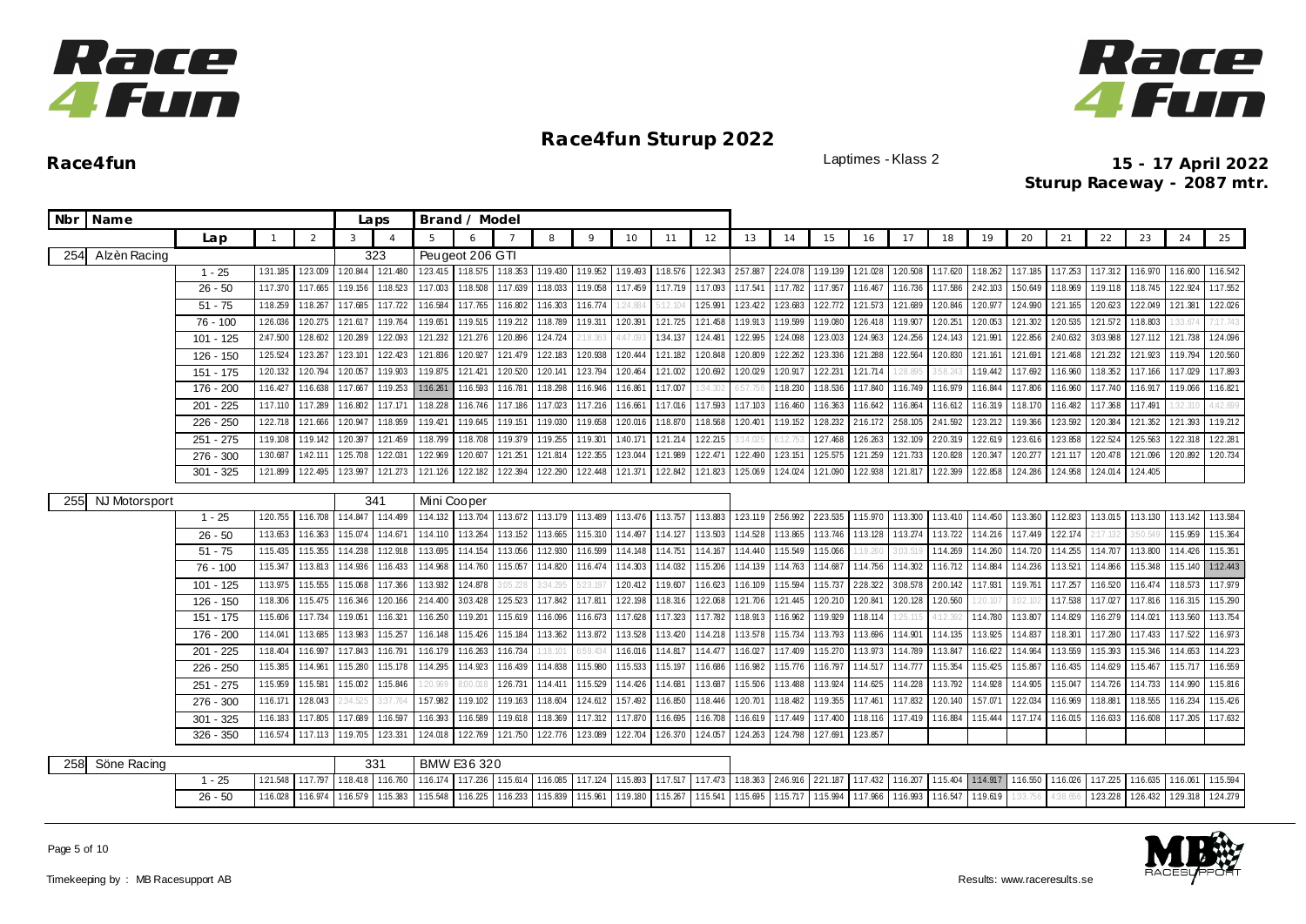



|     | Nbr Name             |             |              |          |                   | Laps           |             | Brand / Model     |          |          |              |                   |                   |          |          |          |                   |          |                   |          |          |          |          |          |          |          |          |
|-----|----------------------|-------------|--------------|----------|-------------------|----------------|-------------|-------------------|----------|----------|--------------|-------------------|-------------------|----------|----------|----------|-------------------|----------|-------------------|----------|----------|----------|----------|----------|----------|----------|----------|
|     |                      | Lap         | $\mathbf{1}$ | 2        | 3                 | $\overline{4}$ | 5           | $\epsilon$        |          | 8        | $\mathsf{Q}$ | 10                | 11                | 12       | 13       | 14       | 15                | 16       | 17                | 18       | 19       | 20       | 21       | 22       | 23       | 24       | 25       |
| 254 | Alzèn Racing         |             |              |          |                   | 323            |             | Peugeot 206 GTI   |          |          |              |                   |                   |          |          |          |                   |          |                   |          |          |          |          |          |          |          |          |
|     |                      | $1 - 25$    | 1:31.185     | 123.009  | 1:20.844          | 1:21.480       | 1:23.415    | 1:18.575 1:18.353 |          | 1:19.430 | 1:19.952     |                   | 1:19.493 1:18.576 | 1:22.343 | 2:57.887 | 224.078  | 1:19.139          | 1:21.028 | 1:20.508 1:17.620 |          | 1:18.262 | 1:17.185 | 1:17.253 | 1:17.312 | 1:16.970 | 1:16.600 | 1:16.542 |
|     |                      | $26 - 50$   | 1:17.370     | 1:17.665 | 1:19.156          | 1:18.523       | 1:17.003    | 1:18.508          | 1:17.639 | 1:18.033 | 1:19.058     | 1:17.459          | 1:17.719          | 1:17.093 | 1:17.541 | 1:17.782 | 1:17.957          | 1:16.467 | 1:16.736          | 1:17.586 | 2:42.103 | 1:50.649 | 1:18.969 | 1:19.118 | 1:18.745 | 122.924  | 1:17.552 |
|     |                      | $51 - 75$   | 1:18.259     | 1:18.267 | 1:17.685          | 1:17.722       | 1:16.584    | 1:17.765          | 1:16.802 | 1:16.303 | 1:16.774     | 24.884            |                   | 1:25.991 | 123.422  | 123.683  | 122.772           | 121.573  | 121.689           | 1:20.846 | 1:20.97  | 1:24.990 | 121.165  | 1:20.623 | 1:22.049 | 121.381  | 122.026  |
|     |                      | 76 - 100    | 1:26.036     | 1:20.275 | 1:21.617          | 1:19.764       | 1:19.651    | 1:19.515          | 1:19.212 | 1:18.789 | 1:19.311     | 1:20.391          | 1:21.725          | 1:21.458 | 1:19.913 | 1:19.599 | 1:19.080          | 1:26.418 | 1:19.907          | 1:20.251 | 1:20.053 | 1:21.302 | 1:20.535 | 121.572  | 1:18.803 |          | 117.743  |
|     |                      | 101 - 125   | 2:47.500     | 1:28.602 | 1:20.289          | 1:22.093       | 121.232     | 1:21.276          | 1:20.896 | 1:24.724 | 2:18.363     | 4:47.093          | 1:34.137          | 1:24.481 | 1:22.995 | 1:24.098 | 1:23.003          | 1:24.963 | 1:24.256          | 124.143  | 1:21.991 | 1:22.856 | 2:40.632 | 3.03.988 | 127.112  | 121.738  | 1:24.096 |
|     |                      | $126 - 150$ | 1:25.524     | 123.267  | 1:23.101          | 122.423        | 1:21.836    | 1:20.927          | 121.479  | 1:22.183 | 120.938      | 1:20.444          | 1:21.182          | 1:20.848 | 1:20.809 | 1:22.262 | 123.336           | 1:21.288 | 1:22.564          | 1:20.830 | 121.161  | 1:21.691 | 1:21.468 | 121.232  | 1:21.923 | 1:19.794 | 1:20.560 |
|     |                      | $151 - 175$ | 1:20.132     | 1:20.794 | 1:20.057          | 1:19.903       | 1:19.875    | 121.421           | 1:20.520 | 1:20.141 | 1:23.794     | 1:20.464          | 1:21.002          | 1:20.692 | 1:20.029 | 1:20.917 | 122.231           | 121.714  | 28.8              |          | 1:19.442 | 1:17.692 | 1:16.960 | 1:18.352 | 1:17.166 | 1:17.029 | 1:17.893 |
|     |                      | 176 - 200   | 1:16.427     | 1:16.638 | 1:17.667          | 1:19.253       | 1:16.261    | 1:16.593          | 1:16.781 | 1:18.298 | 1:16.946     | 1:16.861          | 1:17.007          | 34.302   | 6:57.75  | 1:18.230 | 1:18.536          | 1:17.840 | 1:16.749          | 1:16.979 | 1:16.844 | 1:17.806 | 1:16.960 | 1:17.740 | 1:16.917 | 1:19.066 | 1:16.821 |
|     |                      | 201 - 225   | 1:17.110     | 1:17.289 | 1:16.802          | 1:17.171       | 1:18.228    | 1:16.746          | 1:17.186 | 1:17.023 | 1:17.216     | 1:16.661          | 1:17.016          | 1:17.593 | 1:17.103 | 1:16.460 | 1:16.363          | 1:16.642 | 1:16.864          | 1:16.612 | 1:16.319 | 1:18.170 | 1:16.482 | 1:17.368 | 1:17.491 |          | 1:42.699 |
|     |                      | $226 - 250$ | 122.718      | 121.666  | 1:20.947          | 1:18.959       | 1:19.421    | 1:19.645          | 1:19.151 | 1:19.030 | 1:19.658     | 1:20.016          | 1:18.870          | 1:18.568 | 1:20.401 | 1:19.152 | 128.232           | 2:16.172 | 2:58.105          | 2:41.592 | 1:23.212 | 1:19.366 | 123.592  | 1:20.384 | 1:21.352 | 121.393  | 1:19.212 |
|     |                      | $251 - 275$ | 1:19.108     | 1:19.142 | 1:20.397          | 121.459        | 1:18.799    | 1:18.708          | 1:19.379 | 1:19.255 | 1:19.301     | 1:40.171          | 121.214           | 122.215  | 3:14.025 |          | 1:27.468          | 126.263  | 1:32.109          | 2:20.319 | 122.619  | 123.616  | 1:23.858 | 122.524  | 125.563  | 122.318  | 122.281  |
|     |                      | 276 - 300   | 1:30.687     | 1:42.111 | 1:25.708          | 1:22.031       | 1:22.969    | 1:20.607          | 1:21.251 | 1:21.814 | 1:22.355     | 123.044           | 1:21.989          | 1:22.471 | 122.490  | 1:23.151 | 1:25.575          | 1:21.259 | 121.733           | 1:20.828 | 1:20.347 | 1:20.277 | 121.117  | 1:20.478 | 1:21.096 | 1:20.892 | 1:20.734 |
|     |                      | $301 - 325$ | 1:21.899     | 1:22.495 | 1:23.997          | 121.273        | 121.126     | 1:22.182          | 1:22.394 | 1:22.290 | 1:22.448     | 121.371           | 1:22.842          | 1:21.823 | 1:25.069 | 1:24.024 | 1:21.090          | 1:22.938 | 121.817           | 1:22.399 | 1:22.858 | 1:24.286 | 1:24.958 | 1:24.014 | 1:24.405 |          |          |
| 255 | <b>NJ Motorsport</b> |             |              |          |                   | 341            | Mini Cooper |                   |          |          |              |                   |                   |          |          |          |                   |          |                   |          |          |          |          |          |          |          |          |
|     |                      | $1 - 25$    | 1:20.755     | 1:16.708 | 1:14.847          | 1:14.499       | 1:14.132    | 1:13.704 1:13.672 |          | 1:13.179 | 1:13.489     | 1:13.476 1:13.757 |                   | 1:13.883 | 1:23.119 | 256.992  | 223.535           | 1:15.970 | 1:13.300          | 1:13.410 | 1:14.450 | 1:13.360 | 1:12.823 | 1:13.015 | 1:13.130 | 1:13.142 | 1:13.584 |
|     |                      | $26 - 50$   | 1:13.653     | 1:16.363 | 1:15.074          | 1:14.671       | 1:14.110    | 1:13.264          | 1:13.152 | 1:13.665 | 1:15.310     | 1:14.497          | 1:14.127          | 1:13.503 | 1:14.528 | 1:13.865 | 1:13.746          | 1:13.128 | 1:13.274          | 1:13.722 | 1:14.216 | 1:17.449 | 1:22.174 | 17.132   | 3:50.54  | 1:15.959 | 1:15.364 |
|     |                      | $51 - 75$   | 1:15.435     | 1:15.355 | 1:14.238          | 1:12.918       | 1:13.695    | 1:14.154          | 1:13.056 | 1:12.930 | 1:16.599     | 1:14.148          | 1:14.751          | 1:14.167 | 1:14.440 | 1:15.549 | 1:15.066          | 1:19.261 | 3:03.5            | 1:14.269 | 1:14.260 | 1:14.720 | 1:14.255 | 1:14.707 | 1:13.800 | 1:14.426 | 1:15.351 |
|     |                      | 76 - 100    | 1:15.347     | 1:13.813 | 1:14.936          | 1:16.433       | 1:14.968    | 1:14.760          | 1:15.057 | 1:14.820 | 1:16.474     | 1:14.303          | 1:14.032          | 1:15.206 | 1:14.139 | 1:14.763 | 1:14.687          | 1:14.756 | 1:14.302          | 1:16.712 | 1:14.884 | 1:14.236 | 1:13.521 | 1:14.866 | 1:15.348 | 1:15.140 | 1:12.443 |
|     |                      | $101 - 125$ | 1:13.975     | 1:15.555 | 1:15.068          | 1:17.366       | 1:13.932    | 1:24.878          | :05.228  | 3:34.295 | 5:23.197     | 1:20.412          | 1:19.607          | 1:16.623 | 1:16.109 | 1:15.594 | 1:15.737          | 2:28.322 | 3:08.578          | 2:00.142 | 1:17.931 | 1:19.761 | 1:17.257 | 1:16.520 | 1:16.474 | 1:18.573 | 1:17.979 |
|     |                      | $126 - 150$ | 1:18.306     | 1:15.475 | 1:16.346          | 1:20.166       | 2:14.400    | 3:03.428          | 125.523  | 1:17.842 | 1:17.811     | 1:22.198          | 1:18.316          | 122.068  | 121.706  | 121.445  | 1:20.210          | 1:20.841 | 1:20.128          | 1:20.560 | 20.10    | 3:02.102 | 1:17.538 | 1:17.027 | 1:17.816 | 1:16.315 | 1:15.290 |
|     |                      | 151 - 175   | 1:15.606     | 1:17.734 | 1:19.051          | 1:16.321       | 1:16.250    | 1:19.20           | 1:15.619 | 1:16.096 | 1:16.673     | 1:17.628          | 1:17.323          | 1:17.782 | 1:18.913 | 1:16.962 | 1:19.929          | 1:18.114 | 25.11             | 1:12.392 | 1:14.780 | 1:13.807 | 1:14.829 | 1:16.279 | 1:14.021 | 1:13.560 | 1:13.754 |
|     |                      | 176 - 200   | 1:14.041     | 1:13.685 | 1:13.983          | 1:15.257       | 1:16.148    | 1:15.426          | 1:15.184 | 1:13.362 | 1:13.872     | 1:13.528          | 1:13.420          | 1:14.218 | 1:13.578 | 1:15.734 | 1:13.793          | 1:13.696 | 1:14.901          | 1:14.135 | 1:13.925 | 1:14.837 | 1:18.30  | 1:17.280 | 1:17.433 | 1:17.522 | 1:16.973 |
|     |                      | $201 - 225$ | 1:18.404     | 1:16.997 | 1:17.843          | 1:16.791       | 1:16.179    | 1:16.263          | 1:16.734 | :18.10   |              | 1:16.016          | 1:14.817          | 1:14.477 | 1:16.027 | 1:17.409 | 1:15.270          | 1:13.973 | 1:14.789          | 1:13.847 | 1:16.622 | 1:14.964 | 1:13.559 | 1:15.393 | 1:15.346 | 1:14.653 | 1:14.223 |
|     |                      | $226 - 250$ | 1:15.385     | 1:14.96  | 1:15.280          | 1:15.178       | 1:14.295    | 1:14.923          | 1:16.439 | 1:14.838 | 1:15.980     | 1:15.533          | 1:15.197          | 1:16.686 | 1:16.982 | 1:15.776 | 1:16.797          | 1:14.517 | 1:14.777          | 1:15.354 | 1:15.425 | 1:15.867 | 1:16.435 | 1:14.629 | 1:15.467 | 1:15.717 | 1:16.559 |
|     |                      | $251 - 275$ | 1:15.959     | 1:15.58  | 1:15.002          | 1:15.846       | :20.969     | 3:00.0            | 126.731  | 1:14.411 | 1:15.529     | 1:14.426          | 1:14.681          | 1:13.687 | 1:15.506 | 1:13.488 | 1:13.924          | 1:14.625 | 1:14.228          | 1:13.792 | 1:14.928 | 1:14.905 | 1:15.047 | 1:14.726 | 1:14.733 | 1:14.990 | 1:15.816 |
|     |                      | $276 - 300$ | 1:16.171     | 1:28.043 | :34.525           | 37.764         | 157.982     | 1:19.102          | 1:19.163 | 1:18.604 | 124.612      | 1:57.492          | 1:16.850          | 1:18.446 | 120.701  | 1:18.482 | 1:19.355          | 1:17.461 | 1:17.832          | 1:20.140 | 1:57.07  | 122.034  | 1:16.969 | 1:18.881 | 1:18.555 | 1:16.234 | 1:15.426 |
|     |                      | $301 - 325$ | 1:16.183     | 1:17.805 | 1:17.689          | 1:16.597       | 1:16.393    | 1:16.589          | 1:19.618 | 1:18.369 | 1:17.312     | 1:17.870          | 1:16.695          | 1:16.708 | 1:16.619 | 1:17.449 | 1:17.400          | 1:18.116 | 1:17.419          | 1:16.884 | 1:15.444 | 1:17.174 | 1:16.015 | 1:16.633 | 1:16.608 | 1:17.205 | 1:17.632 |
|     |                      | 326 - 350   | 1:16.574     | 1:17.113 | 1:19.705          | 123.33'        | 1:24.018    | 1:22.769          | 1:21.750 | 1:22.776 | 1:23.089     | 1:22.704          | 1:26.370          | 1:24.057 | 1:24.263 | 1:24.798 | 1:27.691          | 1:23.857 |                   |          |          |          |          |          |          |          |          |
|     |                      |             |              |          |                   |                |             |                   |          |          |              |                   |                   |          |          |          |                   |          |                   |          |          |          |          |          |          |          |          |
| 258 | Söne Racing          |             |              |          |                   | 331            |             | BMW E36 320       |          |          |              |                   |                   |          |          |          |                   |          |                   |          |          |          |          |          |          |          |          |
|     |                      | $1 - 25$    | 1:21.548     | 1:17.797 | 1:18.418          | 1:16.760       | 1:16.174    | 1:17.236          | 1:15.614 | 1:16.085 | 1:17.124     | 1:15.893          | 1:17.517          | 1:17.473 | 1:18.363 | 2:46.916 | 221.187           | 1:17.432 | 1:16.207          | 1:15.404 | 1:14.917 | 1:16.550 | 1:16.026 | 1:17.225 | 1:16.635 | 1:16.061 | 1:15.594 |
|     |                      | $26 - 50$   | 1:16.028     |          | 1:16.974 1:16.579 | 1:15.383       | 1:15.548    | 1:16.225 1:16.233 |          | 1:15.839 | 1:15.961     |                   | 1:19.180 1:15.267 | 1:15.541 | 1:15.695 |          | 1:15.717 1:15.994 |          | 1:17.966 1:16.993 | 1:16.547 | 1:19.619 | 33.756   | 4:38.656 | 123.228  | 1:26.432 | 1:29.318 | 124.279  |

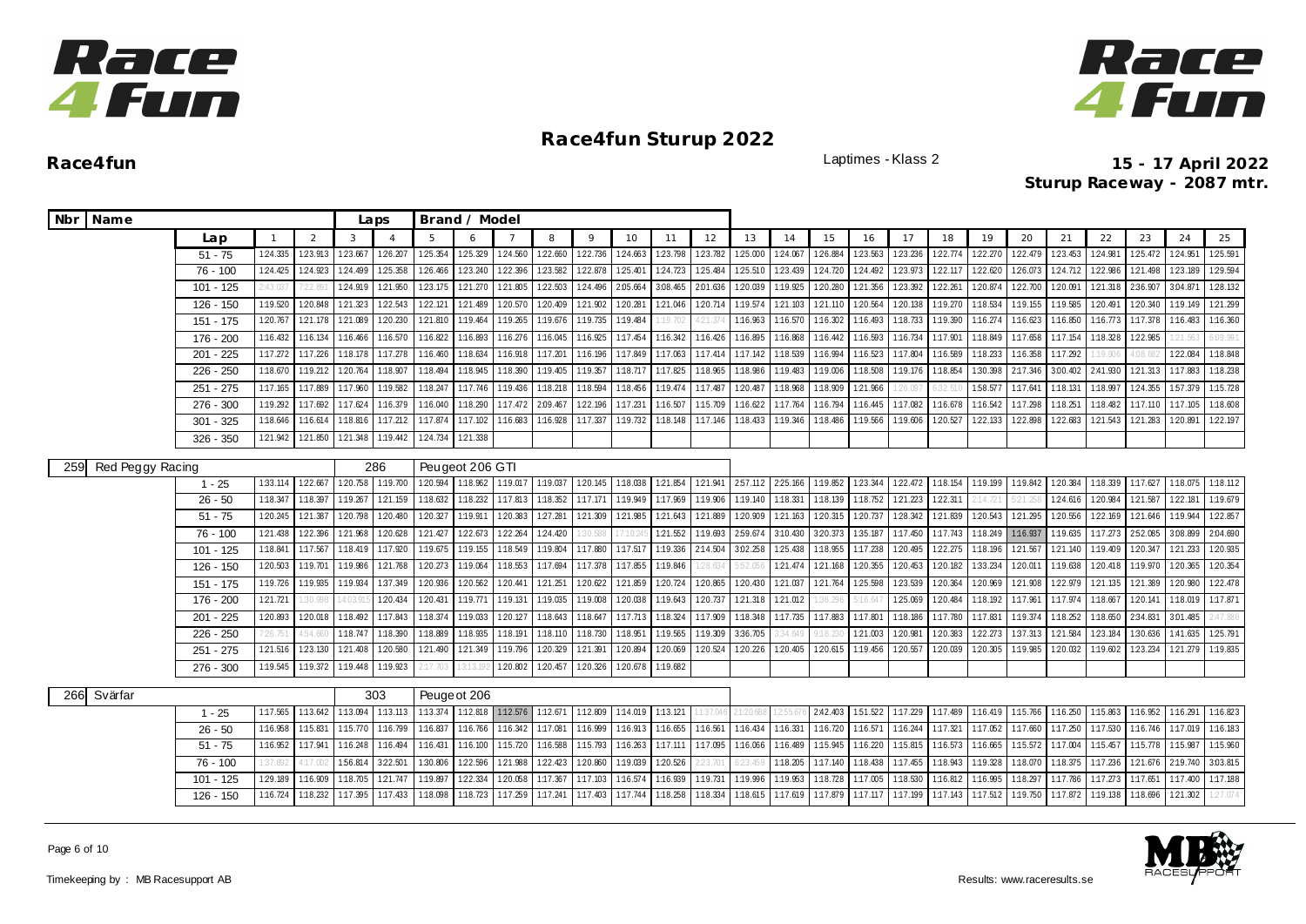



| Nbr Name                |             |                |               |          | Laps           |              | Brand / Model   |                   |                 |          |                   |          |          |          |          |          |          |          |          |                   |          |          |          |          |          |          |
|-------------------------|-------------|----------------|---------------|----------|----------------|--------------|-----------------|-------------------|-----------------|----------|-------------------|----------|----------|----------|----------|----------|----------|----------|----------|-------------------|----------|----------|----------|----------|----------|----------|
|                         | Lap         | $\overline{1}$ | $\mathcal{P}$ | 3        | $\overline{A}$ | 5            | $\epsilon$      |                   | 8               | 9        | 10                | 11       | 12       | 13       | 14       | 15       | 16       | 17       | 18       | 19                | 20       | 21       | 22       | 23       | 24       | 25       |
|                         | $51 - 75$   | 1:24.335       | 1:23.913      | 1:23.667 | 126.207        | 1:25.354     | 1:25.329        | 1:24.560          | 1:22.660        | 1:22.736 | 1:24.663          | 123.798  | 1:23.782 | 1:25.000 | 1:24.067 | 1:26.884 | 1:23.563 | 123.236  | 1:22.774 | 122.270           | 1:22.479 | 1:23.453 | 1:24.981 | 1:25.472 | 124.951  | 125.591  |
|                         | 76 - 100    | 1:24.425       | 1:24.923      | 1:24.499 | 125.358        | 126.466      | 123.240         | 122.396           | 123.582         | 1:22.878 | 125.40            | 124.723  | 1:25.484 | 1:25.510 | 1:23.439 | 1:24.720 | 1:24.492 | 123.973  | 1:22.117 | 1:22.620          | 1:26.073 | 124.712  | 1:22.986 | 1:21.498 | 123.189  | 1:29.594 |
|                         | $101 - 125$ | .43.03         | 7:22.89       | 124.919  | 121.950        | 1:23.175     | 121.270         | 121.805           | 1:22.503        | 1:24.496 | 2:05.664          | 3.08.465 | 2:01.636 | 1:20.039 | 1:19.925 | 120.280  | 121.356  | 123.392  | 1:22.261 | 1:20.874          | 1:22.700 | 1:20.09  | 121.318  | 2:36.907 | 3:04.871 | 128.132  |
|                         | $126 - 150$ | 1:19.520       | 1:20.848      | 121.323  | 1:22.543       | 1:22.121     | 121.489         | 1:20.570          | 1:20.409        | 121.902  | 1:20.281          | 121.046  | 1:20.714 | 1:19.574 | 121.103  | 121.110  | 1:20.564 | 1:20.138 | 1:19.270 | 1:18.534          | 1:19.155 | 1:19.585 | 1:20.491 | 120.340  | 1:19.149 | 121.299  |
|                         | 151 - 175   | 1:20.767       | 1:21.178      | 1:21.089 | 120.230        | 121.810      | 1:19.464        | 1:19.265          | 1:19.676        | 1:19.735 | 1:19.484          | :19.702  | 121.37   | 1:16.963 | 1:16.570 | 1:16.302 | 1:16.493 | 1:18.733 | 1:19.390 | 1:16.274          | 1:16.623 | 1:16.850 | 1:16.773 | 1:17.378 | 1:16.483 | 1:16.360 |
|                         | 176 - 200   | 1:16.432       | 1:16.134      | 1:16.466 | 1:16.570       | 1:16.822     | 1:16.893        | 1:16.276          | 1:16.045        | 1:16.925 | 1:17.454          | 1:16.342 | 1:16.426 | 1:16.895 | 1:16.868 | 1:16.442 | 1:16.593 | 1:16.734 | 1:17.901 | 1:18.849          | 1:17.658 | 1:17.154 | 1:18.328 | 1:22.985 | 21.563   | 5:09.991 |
|                         | $201 - 225$ | 1:17.272       | 1:17.226      | 1:18.178 | 1:17.278       | 1:16.460     | 1:18.634        | 1:16.918          | 1:17.201        | 1:16.196 | 1:17.849          | 1:17.063 | 1:17.414 | 1:17.142 | 1:18.539 | 1:16.994 | 1:16.523 | 1:17.804 | 1:16.589 | 1:18.233          | 1:16.358 | 1:17.292 | :19.906  | .08.68   | 1:22.084 | 1:18.848 |
|                         | $226 - 250$ | 1:18.670       | 1:19.212      | 1:20.764 | 1:18.907       | 1:18.494     | 1:18.945        | 1:18.390          | 1:19.405        | 1:19.357 | 1:18.717          | 1:17.825 | 1:18.965 | 1:18.986 | 1:19.483 | 1:19.006 | 1:18.508 | 1:19.176 | 1:18.854 | 1:30.398          | 2:17.346 | 3:00.402 | 2:41.930 | 1:21.313 | 1:17.883 | 1:18.238 |
|                         | 251 - 275   | 1:17.165       | 1:17.889      | 1:17.960 | 1:19.582       | 1:18.247     | 1:17.746        | 1:19.436          | 1:18.218        | 1:18.594 | 1:18.456          | 1:19.474 | 1:17.487 | 1:20.487 | 1:18.968 | 1:18.909 | 121.966  | 126.097  | 5:32.51  | 1:58.57           | 1:17.641 | 1:18.131 | 1:18.997 | 124.355  | 157.379  | 1:15.728 |
|                         | $276 - 300$ | 1:19.292       | 1:17.692      | 1:17.624 | 1:16.379       | 1:16.040     | 1:18.290        | 1:17.472          | 2:09.467        | 1:22.196 | 1:17.231          | 1:16.507 | 1:15.709 | 1:16.622 | 1:17.764 | 1:16.794 | 1:16.445 | 1:17.082 | 1:16.678 | 1:16.542          | 1:17.298 | 1:18.251 | 1:18.482 | 1:17.110 | 1:17.105 | 1:18.608 |
|                         | $301 - 325$ | 1:18.646       | 1:16.614      | 1:18.816 | 1:17.212       | 1:17.874     | 1:17.102        | 1:16.683          | 1:16.928        | 1:17.337 | 1:19.732          | 1:18.148 | 1:17.146 | 1:18.433 | 1:19.346 | 1:18.486 | 1:19.566 | 1:19.606 | 1:20.527 | 1:22.133          | 122.898  | 122.683  | 1:21.543 | 121.283  | 1:20.891 | 122.197  |
|                         | $326 - 350$ | 1:21.942       | 1:21.850      | 1:21.348 | 1:19.442       | 1:24.734     | 1:21.338        |                   |                 |          |                   |          |          |          |          |          |          |          |          |                   |          |          |          |          |          |          |
|                         |             |                |               |          | 286            |              | Peugeot 206 GTI |                   |                 |          |                   |          |          |          |          |          |          |          |          |                   |          |          |          |          |          |          |
| 259<br>Red Peggy Racing | $1 - 25$    | 1:33.114       | 1:22.667      | 1:20.758 | 1:19.700       | 1:20.594     | 1:18.962        | 1:19.017          | 1:19.037        | 1:20.145 | 1:18.038          | 1:21.854 | 1:21.941 | 2.57.112 | 2:25.166 | 1:19.852 | 1:23.344 | 122.472  | 1:18.154 | 1:19.199 1:19.842 |          | 1:20.384 | 1:18.339 | 1:17.627 | 1:18.075 | 1:18.112 |
|                         | $26 - 50$   | 1:18.347       | 1:18.397      | 1:19.267 | 121.159        | 1:18.632     | 1:18.232        | 1:17.813          | 1:18.352        | 1:17.171 | 1:19.949          | 1:17.969 | 1:19.906 | 1:19.140 | 1:18.331 | 1:18.139 | 1:18.752 | 121.223  | 122.31   | 2:14.72           |          | 124.616  | 1:20.984 | 1:21.587 | 1:22.181 | 1:19.679 |
|                         | $51 - 75$   | 1:20.245       | 1:21.387      | 1:20.798 | 1:20.480       | 1:20.327     | 1:19.911        | 120.383           | 127.281         | 1:21.309 | 1:21.985          | 121.643  | 1:21.889 | 1:20.909 | 1:21.163 | 1:20.315 | 1:20.737 | 1:28.342 | 1:21.839 | 1:20.543          | 121.295  | 1:20.556 | 1:22.169 | 121.646  | 1:19.944 | 1:22.857 |
|                         | 76 - 100    | 1:21.438       | 122.396       | 121.968  | 1:20.628       | 121.427      | 122.673         | 122.264           | 124.420         | 30.588   | 7:10.2            | 121.552  | 1:19.693 | 259.674  | 3:10.430 | 320.373  | 1:35.187 | 1:17.450 | 1:17.743 | 1:18.249          | 1:16.937 | 1:19.635 | 1:17.273 | 2:52.085 | 3:08.899 | 2:04.690 |
|                         | $101 - 125$ | 1:18.841       | 1:17.567      | 1:18.419 | 1:17.920       | 1:19.675     | 1:19.155        | 1:18.549          | 1:19.804        | 1:17.880 | 1:17.517          | 1:19.336 | 2:14.504 | 3.02.258 | 125.438  | 1:18.955 | 1:17.238 | 1:20.495 | 1:22.275 | 1:18.196          | 1:21.567 | 121.140  | 1:19.409 | 120.347  | 121.233  | 1:20.935 |
|                         | 126 - 150   | 1:20.503       | 1:19.701      | 1:19.986 | 1:21.768       | 1:20.273     | 1:19.064        | 1:18.553          | 1:17.694        | 1:17.378 | 1:17.855          | 1:19.846 | 28.634   | 5:52.056 | 1:21.474 | 1:21.168 | 1:20.355 | 1:20.453 | 1:20.182 | 1:33.234          | 1:20.011 | 1:19.638 | 1:20.418 | 1:19.970 | 1:20.365 | 1:20.354 |
|                         | 151 - 175   | 1:19.726       | 1:19.935      | 1:19.934 | 1:37.349       | 1:20.936     | 1:20.562        | 1:20.441          | 1:21.251        | 1:20.622 | 1:21.859          | 1:20.724 | 1:20.865 | 1:20.430 | 1:21.037 | 1:21.764 | 1:25.598 | 123.539  | 1:20.364 | 1:20.969          | 1:21.908 | 1:22.979 | 121.135  | 1:21.389 | 1:20.980 | 122.478  |
|                         | 176 - 200   | 1:21.721       | 30.99         | 4:03.9   | 1:20.434       | 1:20.431     | 1:19.771        | 1:19.131          | 1:19.035        | 1:19.008 | 1:20.038          | 1:19.643 | 1:20.737 | 1:21.318 | 1:21.012 | 1:36.29  | :16.64   | 1:25.069 | 1:20.484 | 1:18.192 1:17.961 |          | 1:17.974 | 1:18.667 | 1:20.141 | 1:18.019 | 1:17.871 |
|                         | 201 - 225   | 1:20.893       | 1:20.018      | 1:18.492 | 1:17.843       | 1:18.374     | 1:19.033        | 1:20.127          | 1:18.643        | 1:18.647 | 1:17.713          | 1:18.324 | 1:17.909 | 1:18.348 | 1:17.735 | 1:17.883 | 1:17.801 | 1:18.186 | 1:17.780 | 1:17.83           | 1:19.374 | 1:18.252 | 1:18.650 | 2:34.831 | 3.01.485 | 2:47.886 |
|                         | $226 - 250$ |                | 4:54.66       | 1:18.747 | 1:18.390       | 1:18.889     | 1:18.935        | 1:18.191          | 1:18.110        | 1:18.730 | 1:18.951          | 1:19.565 | 1:19.309 | 3:36.705 | 34.64    |          | 1:21.003 | 1:20.98  | 1:20.383 | 1:22.273          | 1:37.313 | 1:21.584 | 1:23.184 | 1:30.636 | 1:41.635 | 125.791  |
|                         | $251 - 275$ | 1:21.516       | 123.130       | 1:21.408 | 1:20.580       | 1:21.490     | 1:21.349        | 1:19.796          | 1:20.329        | 1:21.391 | 1:20.894          | 120.069  | 1:20.524 | 1:20.226 | 1:20.405 | 1:20.615 | 1:19.456 | 1:20.557 | 1:20.039 | 1:20.305          | 1:19.985 | 1:20.032 | 1:19.602 | 1:23.234 | 121.279  | 1:19.835 |
|                         | $276 - 300$ | 1:19.545       | 1:19.372      | 1:19.448 | 1:19.923       |              | 13:13.          |                   | 120.802 120.457 | 1:20.326 | 120.678           | 1:19.682 |          |          |          |          |          |          |          |                   |          |          |          |          |          |          |
|                         |             |                |               |          |                |              |                 |                   |                 |          |                   |          |          |          |          |          |          |          |          |                   |          |          |          |          |          |          |
| 266<br>Svärfar          |             |                |               |          | 303            | Peuge ot 206 |                 |                   |                 |          |                   |          |          |          |          |          |          |          |          |                   |          |          |          |          |          |          |
|                         | $1 - 25$    | 1:17.565       | 1:13.642      | 1:13.094 | 1:13.113       | 1:13.374     |                 | 1:12.818 1:12.576 | 1:12.671        | 1:12.809 | 1:14.019 1:13.121 |          | 1:37.04  |          |          | 2:42.403 | 151.522  | 1:17.229 | 1:17.489 | 1:16.419 1:15.766 |          | 1:16.250 | 1:15.863 | 1:16.952 | 1:16.291 | 1:16.823 |
|                         | $26 - 50$   | 1:16.958       | 1:15.831      | 1:15.770 | 1:16.799       | 1:16.837     | 1:16.766        | 1:16.342          | 1:17.081        | 1:16.999 | 1:16.913          | 1:16.655 | 1:16.561 | 1:16.434 | 1:16.331 | 1:16.720 | 1:16.571 | 1:16.244 | 1:17.321 | 1:17.052          | 1:17.660 | 1:17.250 | 1:17.530 | 1:16.746 | 1:17.019 | 1:16.183 |
|                         | $51 - 75$   | 1:16.952       | 1:17.941      | 1:16.248 | 1:16.494       | 1:16.431     | 1:16.100        | 1:15.720          | 1:16.588        | 1:15.793 | 1:16.263          | 1:17.111 | 1:17.095 | 1:16.066 | 1:16.489 | 1:15.945 | 1:16.220 | 1:15.815 | 1:16.573 | 1:16.665          | 1:15.572 | 1:17.004 | 1:15.457 | 1:15.778 | 1:15.987 | 1:15.960 |
|                         | 76 - 100    | :37.892        | 4:17.00       | 1:56.814 | 322.501        | 1:30.806     | 1:22.596        | 121.988           | 122.423         | 1:20.860 | 1:19.039          | 120.526  | 23.70    | 6:23.    | 1:18.205 | 1:17.140 | 1:18.438 | 1:17.455 | 1:18.943 | 1:19.328          | 1:18.070 | 1:18.375 | 1:17.236 | 121.676  | 2:19.740 | 3:03.815 |
|                         | 101 - 125   | 1:29.189       | 1:16.909      | 1:18.705 | 1:21.747       | 1:19.897     | 1:22.334        | 1:20.058          | 1:17.367        | 1:17.103 | 1:16.574          | 1:16.939 | 1:19.731 | 1:19.996 | 1:19.953 | 1:18.728 | 1:17.005 | 1:18.530 | 1:16.812 | 1:16.995          | 1:18.297 | 1:17.786 | 1:17.273 | 1:17.651 | 1:17.400 | 1:17.188 |
|                         | $126 - 150$ | 1:16.724       | 1:18.232      | 1:17.395 | 1:17.433       | 1:18.098     | 1:18.723        | 1:17.259          | 1:17.241        | 1:17.403 | 1:17.744          | 1:18.258 | 1:18.334 | 1:18.615 | 1:17.619 | 1:17.879 | 1:17.117 | 1:17.199 | 1:17.143 | 1:17.512          | 1:19.750 | 1:17.872 | 1:19.138 | 1:18.696 | 121.302  | 1:27.074 |

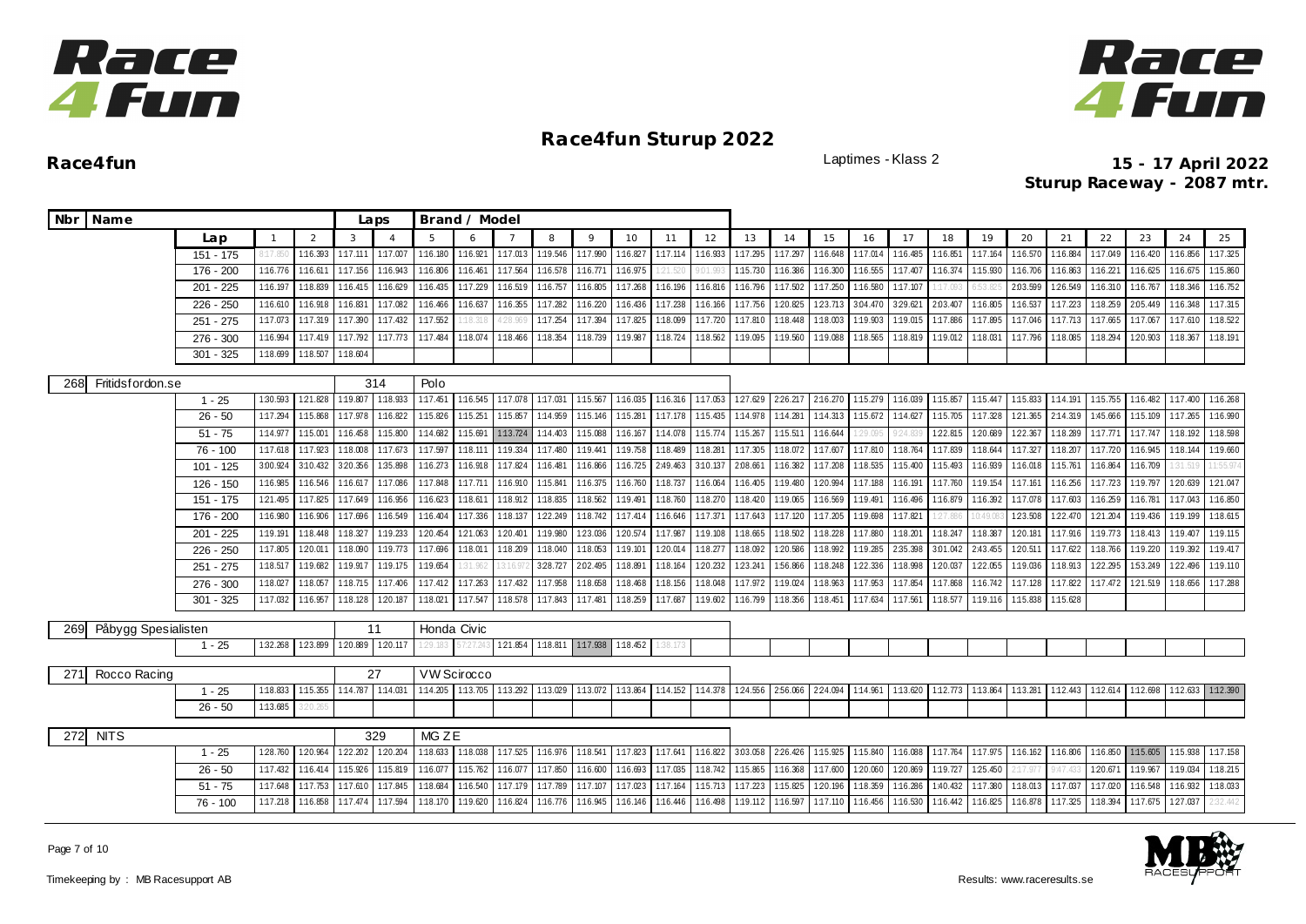



| Nbr Name                   |             |              |          |                  | Laps           |             | Brand / Model     |          |                            |          |          |          |          |          |                  |          |          |          |          |          |          |          |          |          |          |          |
|----------------------------|-------------|--------------|----------|------------------|----------------|-------------|-------------------|----------|----------------------------|----------|----------|----------|----------|----------|------------------|----------|----------|----------|----------|----------|----------|----------|----------|----------|----------|----------|
|                            | Lap         | $\mathbf{1}$ | 2        | 3                | $\overline{A}$ | 5           |                   |          | 8                          | 9        | 10       | 11       | 12       | 13       | 14               | 15       | 16       | 17       | 18       | 19       | 20       | 21       | 22       | 23       | 24       | 25       |
|                            | $151 - 175$ | :17.85       | 1:16.393 | 1:17.111         | 1:17.007       | 1:16.180    | 1:16.921          | 1:17.013 | 1:19.546                   | 1:17.990 | 1:16.827 | 1:17.114 | 1:16.933 | 1:17.295 | 1:17.297         | 1:16.648 | 1:17.014 | 1:16.485 | 1:16.85  | 1:17.164 | 1:16.570 | 1:16.884 | 1:17.049 | 1:16.420 | 1:16.856 | 1:17.325 |
|                            | 176 - 200   | 1:16.776     | 1:16.61  | 1:17.156         | 1:16.94        | 1:16.806    | 1:16.461          | 1:17.564 | 1:16.578                   | 1:16.771 | 1:16.975 |          |          | 1:15.730 | 1:16.386         | 1:16.300 | 1:16.555 | 1:17.407 | 1:16.374 | 1:15.930 | 1:16.706 | 1:16.863 | 1:16.221 | 1:16.625 | 1:16.675 | 1:15.860 |
|                            | $201 - 225$ | 1:16.197     | 1:18.83  | 1:16.415         | 1:16.629       | 1:16.435    | 1:17.229          | 1:16.519 | 1:16.757                   | 1:16.805 | 1:17.268 | 1:16.196 | 1:16.816 | 1:16.796 | 1:17.502         | 1:17.250 | 1:16.580 | 1:17.107 | :17.09:  | 6:53.8   | 2:03.599 | 1:26.549 | 1:16.310 | 1:16.767 | 1:18.346 | 1:16.752 |
|                            | $226 - 250$ | 1:16.610     | 1:16.918 | 1:16.831         | 1:17.082       | 1:16.466    | 1:16.637          | 1:16.355 | 1:17.282                   | 1:16.220 | 1:16.436 | 1:17.238 | 1:16.166 | 1:17.756 | 120.825          | 123.713  | 3.04.470 | 3:29.621 | 2:03.407 | 1:16.805 | 1:16.537 | 1:17.223 | 1:18.259 | 2:05.449 | 1:16.348 | 1:17.315 |
|                            | $251 - 275$ | 1:17.073     | 1:17.31  | 1:17.390         | 1:17.432       | 1:17.552    | 1:18.31           | 128.969  | 1:17.254                   | 1:17.394 | 1:17.825 | 1:18.099 | 1:17.720 | 1:17.810 | 1:18.448         | 1:18.003 | 1:19.903 | 1:19.015 | 1:17.886 | 1:17.895 | 1:17.046 | 1:17.713 | 1:17.665 | 1:17.067 | 1:17.610 | 1:18.522 |
|                            | $276 - 300$ | 1:16.994     | 1:17.419 | 1:17.792         | 1:17.773       | 1:17.484    | 1:18.074          | 1:18.466 | 1:18.354                   | 1:18.739 | 1:19.987 | 1:18.724 | 1:18.562 | 1:19.095 | 1:19.560         | 1:19.088 | 1:18.565 | 1:18.819 | 1:19.012 | 1:18.031 | 1:17.796 | 1:18.085 | 1:18.294 | 1:20.903 | 1:18.367 | 1:18.191 |
|                            | $301 - 325$ | 1:18.699     | 1:18.50  | 1:18.604         |                |             |                   |          |                            |          |          |          |          |          |                  |          |          |          |          |          |          |          |          |          |          |          |
|                            |             |              |          |                  | 314            | Polo        |                   |          |                            |          |          |          |          |          |                  |          |          |          |          |          |          |          |          |          |          |          |
| Fritidsfordon.se<br>268    | $1 - 25$    | 1:30.593     | 121.828  | 1:19.807         | 1:18.933       | 1:17.451    | 1:16.545          | 1:17.078 | 1:17.031                   | 1:15.567 | 1:16.035 | 1:16.316 | 1:17.053 |          | 127.629 226.217  | 2:16.270 | 1:15.279 | 1:16.039 | 1:15.857 | 1:15.447 | 1:15.833 | 1:14.191 | 1:15.755 | 1:16.482 | 1:17.400 | 1:16.268 |
|                            | $26 - 50$   | 1:17.294     | 1:15.868 | 1:17.978         | 1:16.822       | 1:15.826    | 1:15.251          | 1:15.857 | 1:14.959                   | 1:15.146 | 1:15.281 | 1:17.178 | 1:15.435 | 1:14.978 | 1:14.281         | 1:14.313 | 1:15.672 | 1:14.627 | 1:15.705 | 1:17.328 | 1:21.365 | 2:14.319 | 1:45.666 | 1:15.109 | 1:17.265 | 1:16.990 |
|                            | $51 - 75$   | 1:14.977     | 1:15.001 | 1:16.458         | 1:15.800       | 1:14.682    | 1:15.691          | 1:13.724 | 1:14.403                   | 1:15.088 | 1:16.167 | 1:14.078 | 1:15.774 | 1:15.267 | 1:15.511         | 1:16.644 | 29.09    | 9:24.8   | 1:22.815 | 1:20.689 | 1:22.367 | 1:18.289 | 1:17.771 | 1:17.747 | 1:18.192 | 1:18.598 |
|                            | $76 - 100$  | 1:17.618     | 1:17.923 | 1:18.008         | 1:17.673       | 1:17.597    | 1:18.111          | 1:19.334 | 1:17.480                   | 1:19.441 | 1:19.758 | 1:18.489 | 1:18.281 | 1:17.305 | 1:18.072         | 1:17.607 | 1:17.810 | 1:18.764 | 1:17.839 | 1:18.644 | 1:17.327 | 1:18.207 | 1:17.720 | 1:16.945 | 1:18.144 | 1:19.660 |
|                            | $101 - 125$ | 3:00.924     | 3:10.432 | 3:20.356         | 1:35.898       | 1:16.273    | 1:16.918          | 1:17.824 | 1:16.481                   | 1:16.866 | 1:16.725 | 2:49.463 | 3:10.137 | 2:08.661 | 1:16.382         | 1:17.208 | 1:18.535 | 1:15.400 | 1:15.493 | 1:16.939 | 1:16.018 | 1:15.761 | 1:16.864 | 1:16.709 | 31.519   | 1:55.97  |
|                            | 126 - 150   | 1:16.985     | 1:16.546 | 1:16.617         | 1:17.086       | 1:17.848    | 1:17.711          | 1:16.910 | 1:15.841                   | 1:16.375 | 1:16.760 | 1:18.737 | 1:16.064 | 1:16.405 | 1:19.480         | 120.994  | 1:17.188 | 1:16.191 | 1:17.760 | 1:19.154 | 1:17.161 | 1:16.256 | 1:17.723 | 1:19.797 | 120.639  | 121.047  |
|                            | 151 - 175   | 121.495      | 1:17.825 | 1:17.649         | 1:16.956       | 1:16.623    | 1:18.611          | 1:18.912 | 1:18.835                   | 1:18.562 | 1:19.491 | 1:18.760 | 1:18.270 | 1:18.420 | 1:19.065         | 1:16.569 | 1:19.491 | 1:16.496 | 1:16.879 | 1:16.392 | 1:17.078 | 1:17.603 | 1:16.259 | 1:16.781 | 1:17.043 | 1:16.850 |
|                            | 176 - 200   | 1:16.980     | 1:16.906 | 1:17.696         | 1:16.549       | 1:16.404    | 1:17.336          | 1:18.137 | 1:22.249                   | 1:18.742 | 1:17.414 | 1:16.646 | 1:17.371 | 1:17.643 | 1:17.120         | 1:17.205 | 1:19.698 | 1:17.821 | 27.880   | 0:49.08  | 1:23.508 | 1:22.470 | 1:21.204 | 1:19.436 | 1:19.199 | 1:18.615 |
|                            | $201 - 225$ | 1:19.191     | 1:18.448 | 1:18.327         | 1:19.233       | 1:20.454    | 1:21.063          | 1:20.401 | 1:19.980                   | 1:23.036 | 1:20.574 | 1:17.987 | 1:19.108 | 1:18.665 | 1:18.502         | 1:18.228 | 1:17.880 | 1:18.201 | 1:18.247 | 1:18.387 | 1:20.181 | 1:17.916 | 1:19.773 | 1:18.413 | 1:19.407 | 1:19.115 |
|                            | $226 - 250$ | 1:17.805     | 1:20.01  | 1:18.090         | 1:19.77        | 1:17.696    | 1:18.01           | 1:18.209 | 1:18.040                   | 1:18.053 | 1:19.101 | 1:20.014 | 1:18.277 | 1:18.092 | 1:20.586         | 1:18.992 | 1:19.285 | 2:35.398 | 3:01.042 | 2:43.455 | 1:20.511 | 1:17.622 | 1:18.766 | 1:19.220 | 1:19.392 | 1:19.417 |
|                            | $251 - 275$ | 1:18.517     | 1:19.682 | 1:19.917         | 1:19.175       | 1:19.654    | 1:31.962          |          | 3:28.727                   | 2.02.495 | 1:18.891 | 1:18.164 | 1:20.232 | 123.241  | 1:56.866         | 1:18.248 | 1:22.336 | 1:18.998 | 1:20.037 | 1:22.055 | 1:19.036 | 1:18.913 | 1:22.295 | 1:53.249 | 1:22.496 | 1:19.110 |
|                            | $276 - 300$ | 1:18.027     | 1:18.057 | 1:18.715         | 1:17.406       | 1:17.412    | 1:17.263          | 1:17.432 | 1:17.958                   | 1:18.658 | 1:18.468 | 1:18.156 | 1:18.048 | 1:17.972 | 1:19.024         | 1:18.963 | 1:17.953 | 1:17.854 | 1:17.868 | 1:16.742 | 1:17.128 | 1:17.822 | 1:17.472 | 1:21.519 | 1:18.656 | 1:17.288 |
|                            | $301 - 325$ | 1:17.032     | 1:16.957 | 1:18.128         | 1:20.187       | 1:18.021    | 1:17.547          | 1:18.578 | 1:17.843                   | 1:17.481 | 1:18.259 | 1:17.687 | 1:19.602 | 1:16.799 | 1:18.356         | 1:18.451 | 1:17.634 | 1:17.561 | 1:18.577 | 1:19.116 | 1:15.838 | 1:15.628 |          |          |          |          |
|                            |             |              |          |                  |                |             |                   |          |                            |          |          |          |          |          |                  |          |          |          |          |          |          |          |          |          |          |          |
| 269<br>Påbygg Spesialisten |             |              |          |                  | 11             | Honda Civic |                   |          |                            |          |          |          |          |          |                  |          |          |          |          |          |          |          |          |          |          |          |
|                            | $1 - 25$    | 1:32.268     | 1:23.899 | 120.889 120.117  |                | 29.183      | 7:27.24           | 1:21.854 | 1:18.811 1:17.938 1:18.452 |          |          |          |          |          |                  |          |          |          |          |          |          |          |          |          |          |          |
| Rocco Racing<br>271        |             |              |          |                  | 27             |             | VW Scirocco       |          |                            |          |          |          |          |          |                  |          |          |          |          |          |          |          |          |          |          |          |
|                            | $1 - 25$    | 1:18.833     | 1:15.355 | 1:14.787         | 1:14.031       | 1:14.205    | 1:13.705 1:13.292 |          | 1:13.029                   | 1:13.072 | 1:13.864 | 1:14.152 | 1:14.378 |          | 124.556 2.56.066 | 2:24.094 | 1:14.961 | 1:13.620 | 1:12.773 | 1:13.864 | 1:13.281 | 1:12.443 | 1:12.614 | 1:12.698 | 1:12.633 | 1:12.390 |
|                            | $26 - 50$   | 1:13.685     | 3:20.26  |                  |                |             |                   |          |                            |          |          |          |          |          |                  |          |          |          |          |          |          |          |          |          |          |          |
|                            |             |              |          |                  |                |             |                   |          |                            |          |          |          |          |          |                  |          |          |          |          |          |          |          |          |          |          |          |
| <b>NITS</b><br>272         |             |              | 329      | MG <sub>ZE</sub> |                |             |                   |          |                            |          |          |          |          |          |                  |          |          |          |          |          |          |          |          |          |          |          |
|                            | $1 - 25$    | 1:28.760     | 1:20.964 | 1:22.202         | 1:20.204       | 1:18.633    | 1:18.038          | 1:17.525 | 1:16.976                   | 1:18.541 | 1:17.823 | 1:17.641 | 1:16.822 | 3:03.058 | 2:26.426         | 1:15.925 | 1:15.840 | 1:16.088 | 1:17.764 | 1:17.975 | 1:16.162 | 1:16.806 | 1:16.850 | 1:15.605 | 1:15.938 | 1:17.158 |
|                            | $26 - 50$   | 1:17.432     | 1:16.414 | 1:15.926         | 1:15.819       | 1:16.077    | 1:15.762          | 1:16.077 | 1:17.850                   | 1:16.600 | 1:16.693 | 1:17.035 | 1:18.742 | 1:15.865 | 1:16.368         | 1:17.600 | 1:20.060 | 1:20.869 | 1:19.727 | 125.450  | 2:17.977 | 9:47.43  | 1:20.671 | 1:19.967 | 1:19.034 | 1:18.215 |
|                            | $51 - 75$   | 1:17.648     | 1:17.753 | 1:17.610         | 1:17.845       | 1:18.684    | 1:16.540          | 1:17.179 | 1:17.789                   | 1:17.107 | 1:17.023 | 1:17.164 | 1:15.713 | 1:17.223 | 1:15.825         | 1:20.196 | 1:18.359 | 1:16.286 | 1:40.432 | 1:17.380 | 1:18.013 | 1:17.037 | 1:17.020 | 1:16.548 | 1:16.932 | 1:18.033 |
|                            | 76 - 100    | 1:17.218     | 1:16.858 | 1:17.474         | 1:17.594       | 1:18.170    | 1:19.620          | 1:16.824 | 1:16.776                   | 1:16.945 | 1:16.146 | 1:16.446 | 1:16.498 | 1:19.112 | 1:16.597         | 1:17.110 | 1:16.456 | 1:16.530 | 1:16.442 | 1:16.825 | 1:16.878 | 1:17.325 | 1:18.394 | 1:17.675 | 127.037  | 2:32.442 |

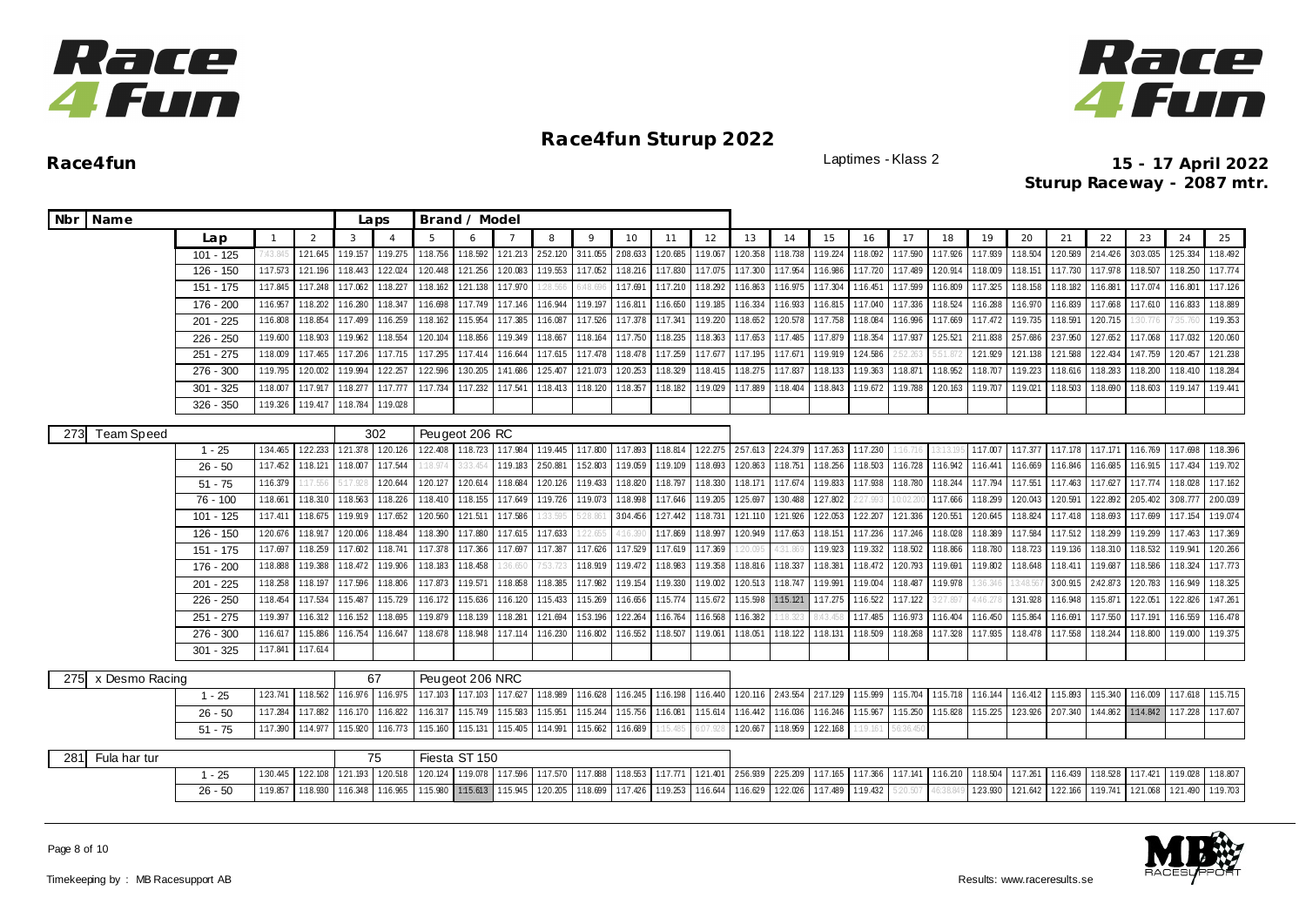



|     | Nbr Name       |             |          |                  |          | Laps           |                           | Brand / Model     |          |          |          |          |          |          |                  |                 |          |          |          |          |                   |          |          |          |          |          |          |
|-----|----------------|-------------|----------|------------------|----------|----------------|---------------------------|-------------------|----------|----------|----------|----------|----------|----------|------------------|-----------------|----------|----------|----------|----------|-------------------|----------|----------|----------|----------|----------|----------|
|     |                | Lap         |          | 2                | 3        | $\overline{4}$ | 5                         | 6                 |          | 8        | 9        | 10       | 11       | 12       | 13               | 14              | 15       | 16       | 17       | 18       | 19                | 20       | 21       | 22       | 23       | 24       | 25       |
|     |                | $101 - 125$ | 1:43.845 | 121.645 1:19.157 |          |                | 1:19.275 1:18.756         | 1:18.592          | 121.213  | 252.120  | 3:11.055 | 2:08.633 | 120.685  | 1:19.067 | 120.358          | 1:18.738        | 1:19.224 | 1:18.092 | 1:17.590 | 1:17.926 | 1:17.939          | 1:18.504 | 1:20.589 | 2:14.426 | 3:03.035 | 125.334  | 1:18.492 |
|     |                | $126 - 150$ | 1:17.573 | 121.196          | 1:18.443 | 122.024        | 1:20.448                  | 121.256           | 1:20.083 | 1:19.553 | 1:17.052 | 1:18.216 | 1:17.830 | 1:17.075 | 1:17.300         | 1:17.954        | 1:16.986 | 1:17.720 | 1:17.489 | 1:20.914 | 1:18.009          | 1:18.151 | 1:17.730 | 1:17.978 | 1:18.507 | 1:18.250 | 1:17.774 |
|     |                | 151 - 175   | 1:17.845 | 1:17.248         | 1:17.062 | 1:18.227       | 1:18.162                  | 1:21.138          | 1:17.970 | 28.56    |          | 1:17.691 | 1:17.210 | 1:18.292 | 1:16.863         | 1:16.975        | 1:17.304 | 1:16.451 | 1:17.599 | 1:16.809 | 1:17.325          | 1:18.158 | 1:18.182 | 1:16.881 | 1:17.074 | 1:16.801 | 1:17.126 |
|     |                | 176 - 200   | 1:16.957 | 1:18.202         | 1:16.280 | 1:18.347       | 1:16.698                  | 1:17.749          | 1:17.146 | 1:16.944 | 1:19.197 | 1:16.811 | 1:16.650 | 1:19.185 | 1:16.334         | 1:16.933        | 1:16.815 | 1:17.040 | 1:17.336 | 1:18.524 | 1:16.288          | 1:16.970 | 1:16.839 | 1:17.668 | 1:17.610 | 1:16.833 | 1:18.889 |
|     |                | $201 - 225$ | 1:16.808 | 1:18.854         | 1:17.499 | 1:16.259       | 1:18.162                  | 1:15.954          | 1:17.385 | 1:16.087 | 1:17.526 | 1:17.378 | 1:17.341 | 1:19.220 | 1:18.652         | 1:20.578        | 1:17.758 | 1:18.084 | 1:16.996 | 1:17.669 | 1:17.472          | 1:19.735 | 1:18.59  | 1:20.715 | 30.77    |          | 1:19.353 |
|     |                | 226 - 250   | 1:19.600 | 1:18.903         | 1:19.962 | 1:18.554       | 1:20.104                  | 1:18.856          | 1:19.349 | 1:18.667 | 1:18.164 | 1:17.750 | 1:18.235 | 1:18.363 | 1:17.653         | 1:17.485        | 1:17.879 | 1:18.354 | 1:17.937 | 1:25.521 | 2:11.838          | 257.686  | 2:37.950 | 127.652  | 1:17.068 | 1:17.032 | 1:20.060 |
|     |                | 251 - 275   | 1:18.009 | 1:17.465         | 1:17.206 |                | 1:17.715 1:17.295         | 1:17.414          | 1:16.644 | 1:17.615 | 1:17.478 | 1:18.478 | 1:17.259 | 1:17.677 | 1:17.195         | 1:17.671        | 1:19.919 | 124.586  |          | 5:51.87  | 121.929           | 121.138  | 1:21.588 | 122.434  | 1:47.759 | 120.457  | 121.238  |
|     |                | 276 - 300   | 1:19.795 | 1:20.002         | 1:19.994 | 122.257        | 1:22.596                  | 1:30.205          | 1:41.686 | 125.407  | 1:21.073 | 1:20.253 | 1:18.329 | 1:18.415 | 1:18.275         | 1:17.837        | 1:18.133 | 1:19.363 | 1:18.871 | 1:18.952 | 1:18.707          | 1:19.223 | 1:18.616 | 1:18.283 | 1:18.200 | 1:18.410 | 1:18.284 |
|     |                | $301 - 325$ | 1:18.007 | 1:17.917         | 1:18.277 | 1:17.777       | 1:17.734                  | 1:17.232          | 1:17.541 | 1:18.413 | 1:18.120 | 1:18.357 | 1:18.182 | 1:19.029 | 1:17.889         | 1:18.404        | 1:18.843 | 1:19.672 | 1:19.788 | 1:20.163 | 1:19.707          | 1:19.021 | 1:18.503 | 1:18.690 | 1:18.603 | 1:19.147 | 1:19.441 |
|     |                | 326 - 350   | 1:19.326 | 1:19.417         | 1:18.784 | 1:19.028       |                           |                   |          |          |          |          |          |          |                  |                 |          |          |          |          |                   |          |          |          |          |          |          |
| 273 | Team Speed     |             |          |                  |          | 302            |                           | Peugeot 206 RC    |          |          |          |          |          |          |                  |                 |          |          |          |          |                   |          |          |          |          |          |          |
|     |                | $1 - 25$    | 1:34.465 | 122.233          | 121.378  | 1:20.126       | 122.408 1:18.723 1:17.984 |                   |          | 1:19.445 | 1:17.800 | 1:17.893 | 1:18.814 | 122.275  |                  | 257.613 224.379 | 1:17.263 | 1:17.230 | 16.1     |          | 1:17.007          | 1:17.377 | 1:17.178 | 1:17.171 | 1:16.769 | 1:17.698 | 1:18.396 |
|     |                | $26 - 50$   | 1:17.452 | 1:18.121         | 1:18.007 | 1:17.544       | :18.974                   | 33.45             | 1:19.183 | 2:50.88  | 152.803  | 1:19.059 | 1:19.109 | 1:18.693 | 120.863          | 1:18.751        | 1:18.256 | 1:18.503 | 1:16.728 | 1:16.942 | 1:16.44           | 1:16.669 | 1:16.846 | 1:16.685 | 1:16.915 | 1:17.434 | 1:19.702 |
|     |                | $51 - 75$   | 1:16.379 | 1:17.55          | 5:17.928 | 1:20.644       | 120.127                   | 120.614           | 1:18.684 | 120.126  | 1:19.433 | 1:18.820 | 1:18.797 | 1:18.330 | 1:18.171         | 1:17.674        | 1:19.833 | 1:17.938 | 1:18.780 | 1:18.244 | 1:17.794 1:17.551 |          | 1:17.463 | 1:17.627 | 1:17.774 | 1:18.028 | 1:17.162 |
|     |                | 76 - 100    | 1:18.661 | 1:18.310         | 1:18.563 | 1:18.226       | 1:18.410                  | 1:18.155          | 1:17.649 | 1:19.726 | 1:19.073 | 1:18.998 | 1:17.646 | 1:19.205 | 125.697          | 1:30.488        | 127.802  | 27.993   | 0:02.2   | 1:17.666 | 1:18.299          | 1:20.043 | 1:20.591 | 1:22.892 | 2.05.402 | 3.08.777 | 2:00.039 |
|     |                | $101 - 125$ | 1:17.411 | 1:18.675         | 1:19.919 | 1:17.652       | 1:20.560                  | 1:21.511          | 1:17.586 | :33.595  | 28.861   | 3:04.456 | 127.442  | 1:18.731 | 121.110          | 1:21.926        | 122.053  | 122.207  | 121.336  | 1:20.551 | 1:20.645          | 1:18.824 | 1:17.418 | 1:18.693 | 1:17.699 | 1:17.154 | 1:19.074 |
|     |                | 126 - 150   | 120.676  | 1:18.91          | 1:20.006 | 1:18.484       | 1:18.390                  | 1:17.880          | 1:17.615 | 1:17.633 | 22.655   | 4:16.39  | 1:17.869 | 1:18.997 | 1:20.949         | 1:17.653        | 1:18.151 | 1:17.236 | 1:17.246 | 1:18.028 | 1:18.389          | 1:17.584 | 1:17.512 | 1:18.299 | 1:19.299 | 1:17.463 | 1:17.369 |
|     |                | 151 - 175   | 1:17.697 | 1:18.259         | 1:17.602 | 1:18.741       | 1:17.378                  | 1:17.366          | 1:17.697 | 1:17.387 | 1:17.626 | 1:17.529 | 1:17.619 | 1:17.369 | 20.095           | 4:31.869        | 1:19.923 | 1:19.332 | 1:18.502 | 1:18.866 | 1:18.780          | 1:18.723 | 1:19.136 | 1:18.310 | 1:18.532 | 1:19.941 | 120.266  |
|     |                | 176 - 200   | 1:18.888 | 1:19.388         | 1:18.472 | 1:19.906       | 1:18.183                  | 1:18.458          | :36.650  | 1:53.72  | 1:18.919 | 1:19.472 | 1:18.983 | 1:19.358 | 1:18.816         | 1:18.337        | 1:18.381 | 1:18.472 | 120.793  | 1:19.691 | 1:19.802          | 1:18.648 | 1:18.411 | 1:19.687 | 1:18.586 | 1:18.324 | 1:17.773 |
|     |                | 201 - 225   | 1:18.258 | 1:18.197         | 1:17.596 | 1:18.806       | 1:17.873                  | 1:19.57           | 1:18.858 | 1:18.385 | 1:17.982 | 1:19.154 | 1:19.330 | 1:19.002 | 1:20.513         | 1:18.747        | 1:19.991 | 1:19.004 | 1:18.487 | 1:19.978 | 1:36.34           | 13:48.56 | 3:00.915 | 2:42.873 | 1:20.783 | 1:16.949 | 1:18.325 |
|     |                | 226 - 250   | 1:18.454 | 1:17.534         | 1:15.487 | 1:15.729       | 1:16.172                  | 1:15.636          | 1:16.120 | 1:15.433 | 1:15.269 | 1:16.656 | 1:15.774 | 1:15.672 | 1:15.598         | 1:15.121        | 1:17.275 | 1:16.522 | 1:17.122 | 3:27.897 | 4:46.27           | 1:31.928 | 1:16.948 | 1:15.871 | 122.051  | 122.826  | 1:47.261 |
|     |                | $251 - 275$ | 1:19.397 | 1:16.312         | 1:16.152 | 1:18.695       | 1:19.879                  | 1:18.139          | 1:18.281 | 1:21.694 | 1:53.196 | 1:22.264 | 1:16.764 | 1:16.568 | 1:16.382         | :18.323         | 3:43.45  | 1:17.485 | 1:16.973 | 1:16.404 | 1:16.450          | 1:15.864 | 1:16.69  | 1:17.550 | 1:17.191 | 1:16.559 | 1:16.478 |
|     |                | $276 - 300$ | 1:16.617 | 1:15.886         | 1:16.754 | 1:16.647       | 1:18.678                  | 1:18.948          | 1:17.114 | 1:16.230 | 1:16.802 | 1:16.552 | 1:18.507 | 1:19.061 | 1:18.051         | 1:18.122        | 1:18.131 | 1:18.509 | 1:18.268 | 1:17.328 | 1:17.935          | 1:18.478 | 1:17.558 | 1:18.244 | 1:18.800 | 1:19.000 | 1:19.375 |
|     |                | $301 - 325$ | 1:17.841 | 1:17.614         |          |                |                           |                   |          |          |          |          |          |          |                  |                 |          |          |          |          |                   |          |          |          |          |          |          |
| 275 | x Desmo Racing |             |          |                  |          | 67             |                           | Peugeot 206 NRC   |          |          |          |          |          |          |                  |                 |          |          |          |          |                   |          |          |          |          |          |          |
|     |                | $1 - 25$    | 123.741  | 1:18.562         | 1:16.976 | 1:16.975       | 1:17.103                  | 1:17.103 1:17.627 |          | 1:18.989 | 1:16.628 | 1:16.245 | 1:16.198 | 1:16.440 | 120.116 2:43.554 |                 | 2:17.129 | 1:15.999 | 1:15.704 | 1:15.718 | 1:16.144          | 1:16.412 | 1:15.893 | 1:15.340 | 1:16.009 | 1:17.618 | 1:15.715 |
|     |                | $26 - 50$   | 1:17.284 | 1:17.882         | 1:16.170 | 1:16.822       | 1:16.317                  | 1:15.749          | 1:15.583 | 1:15.951 | 1:15.244 | 1:15.756 | 1:16.081 | 1:15.614 | 1:16.442         | 1:16.036        | 1:16.246 | 1:15.967 | 1:15.250 | 1:15.828 | 1:15.225          | 123.926  | 2:07.340 | 1:44.862 | 1:14.842 | 1:17.228 | 1:17.607 |
|     |                | $51 - 75$   | 1:17.390 | 1:14.977         | 1:15.920 | 1:16.773       | 1:15.160                  | 1:15.131          | 1:15.405 | 1:14.991 | 1:15.662 | 1:16.689 | 15.485   | 6:07.928 | 120.667          | 1:18.959        | 122.168  | :19.161  | 6:36.45  |          |                   |          |          |          |          |          |          |
|     |                |             |          |                  |          |                |                           |                   |          |          |          |          |          |          |                  |                 |          |          |          |          |                   |          |          |          |          |          |          |
| 281 | Fula har tur   |             |          |                  |          | 75             |                           | Fiesta ST 150     |          |          |          |          |          |          |                  |                 |          |          |          |          |                   |          |          |          |          |          |          |
|     |                | $1 - 25$    | 1:30.445 | 1:22.108         | 121.193  | 1:20.518       | 1:20.124                  | 1:19.078 1:17.596 |          | 1:17.570 | 1:17.888 | 1:18.553 | 1:17.771 | 121.401  | 256.939          | 2:25.209        | 1:17.165 | 1:17.366 | 1:17.141 | 1:16.210 | 1:18.504          | 1:17.261 | 1:16.439 | 1:18.528 | 1:17.421 | 1:19.028 | 1:18.807 |
|     |                | $26 - 50$   | 1:19.857 | 1:18.930         | 1:16.348 | 1:16.965       | 1:15.980                  | 1:15.613          | 1:15.945 | 1:20.205 | 1:18.699 | 1:17.426 | 1:19.253 | 1:16.644 | 1:16.629         | 1:22.026        | 1:17.489 | 1:19.432 | 5:20.501 | 6:38.84  | 1:23.930          | 121.642  | 1:22.166 | 1:19.741 | 1:21.068 | 1:21.490 | 1:19.703 |
|     |                |             |          |                  |          |                |                           |                   |          |          |          |          |          |          |                  |                 |          |          |          |          |                   |          |          |          |          |          |          |

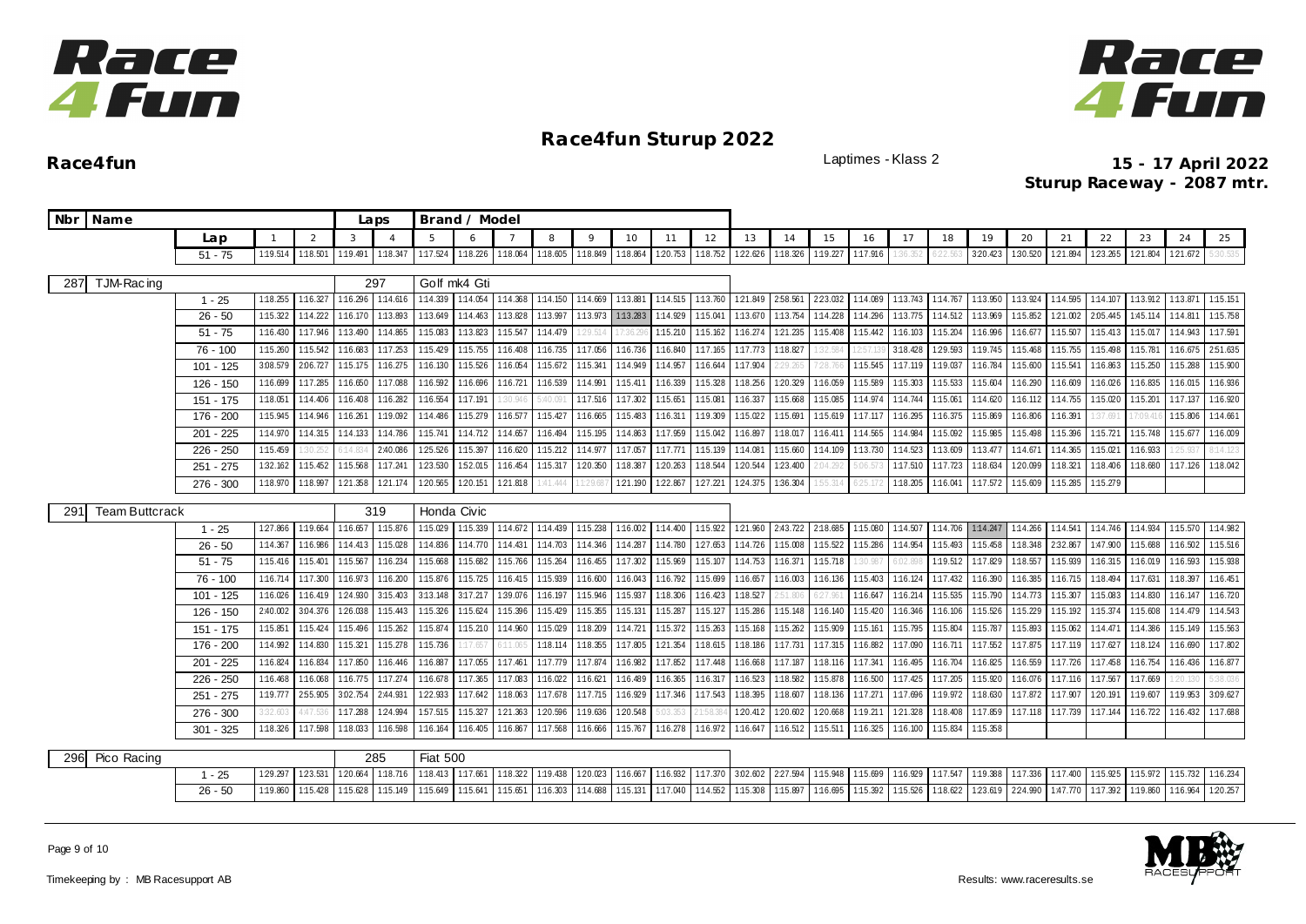



**Race4fun** Laptimes - Klass 2 **15 - 17 April 2022 Sturup Raceway - 2087 mtr.**

|     | Nbr Name              |             |              |                |          | Laps           |                 | Brand / Model |           |          |          |          |          |          |          |                  |          |          |          |          |          |          |                           |          |          |          |          |
|-----|-----------------------|-------------|--------------|----------------|----------|----------------|-----------------|---------------|-----------|----------|----------|----------|----------|----------|----------|------------------|----------|----------|----------|----------|----------|----------|---------------------------|----------|----------|----------|----------|
|     |                       | Lap         | $\mathbf{1}$ | $\overline{2}$ | 3        | $\overline{A}$ | 5               | 6             |           | 8        | $\circ$  | 10       | 11       | 12       | 13       | 14               | 15       | 16       | 17       | 18       | 19       | 20       | 21                        | 22       | 23       | 24       | 25       |
|     |                       | $51 - 75$   | 1:19.514     | 1:18.501       | 1:19.491 | 1:18.347       | 1:17.524        | 1:18.226      | 1:18.064  | 1:18.605 | 1:18.849 | 1:18.864 | 1:20.753 | 1:18.752 | 122.626  | 1:18.326         | 1:19.227 | 1:17.916 |          |          | 3:20.423 | 1:30.520 | 1:21.894                  | 1:23.265 | 1:21.804 | 121.672  | 30.535   |
| 287 | TJM-Racing            |             |              |                |          | 297            |                 | Golf mk4 Gti  |           |          |          |          |          |          |          |                  |          |          |          |          |          |          |                           |          |          |          |          |
|     |                       | $1 - 25$    | 1:18.255     | 1:16.327       | 1:16.296 | 1:14.616       | 1:14.339        | 1:14.054      | 1:14.368  | 1:14.150 | 1:14.669 | 1:13.881 | 1:14.515 | 1:13.760 | 121.849  | 2:58.561         | 223.032  | 1:14.089 | 1:13.743 | 1:14.767 | 1:13.950 | 1:13.924 | 1:14.595                  | 1:14.107 | 1:13.912 | 1:13.871 | 1:15.151 |
|     |                       | $26 - 50$   | 1:15.322     | 1:14.222       | 1:16.170 | 1:13.893       | 1:13.649        | 1:14.463      | 1:13.828  | 1:13.997 | 1:13.973 | 1:13.283 | 1:14.929 | 1:15.041 | 1:13.670 | 1:13.754         | 1:14.228 | 1:14.296 | 1:13.775 | 1:14.512 | 1:13.969 | 1:15.852 | 1:21.002                  | 2:05.445 | 1:45.114 | 1:14.811 | 1:15.758 |
|     |                       | $51 - 75$   | 1:16.430     | 1:17.946       | 1:13.490 | 1:14.865       | 1:15.083        | 1:13.823      | 1:15.547  | 1:14.479 | 1:29.514 | 7:36.29  | 1:15.210 | 1:15.162 | 1:16.274 | 1:21.235         | 1:15.408 | 1:15.442 | 1:16.103 | 1:15.204 | 1:16.996 | 1:16.677 | 1:15.507                  | 1:15.413 | 1:15.017 | 1:14.943 | 1:17.591 |
|     |                       | 76 - 100    | 1:15.260     | 1:15.542       | 1:16.683 | 1:17.253       | 1:15.429        | 1:15.755      | 1:16.408  | 1:16.735 | 1:17.056 | 1:16.736 | 1:16.840 | 1:17.165 | 1:17.773 | 1:18.827         | 32.584   |          | 3:18.428 | 1:29.593 | 1:19.745 | 1:15.468 | 1:15.755                  | 1:15.498 | 1:15.781 | 1:16.675 | 2:51.635 |
|     |                       | $101 - 125$ | 3:08.579     | 2:06.727       | 1:15.175 | 1:16.275       | 1:16.130        | 1:15.526      | 1:16.054  | 1:15.672 | 1:15.341 | 1:14.949 | 1:14.957 | 1:16.644 | 1:17.904 | 29.265           | 1:28.7   | 1:15.545 | 1:17.119 | 1:19.037 | 1:16.784 | 1:15.600 | 1:15.541                  | 1:16.863 | 1:15.250 | 1:15.288 | 1:15.900 |
|     |                       | 126 - 150   | 1:16.699     | 1:17.285       | 1:16.650 | 1:17.088       | 1:16.592        | 1:16.696      | 1:16.721  | 1:16.539 | 1:14.991 | 1:15.411 | 1:16.339 | 1:15.328 | 1:18.256 | 1:20.329         | 1:16.059 | 1:15.589 | 1:15.303 | 1:15.533 | 1:15.604 | 1:16.290 | 1:16.609                  | 1:16.026 | 1:16.835 | 1:16.015 | 1:16.936 |
|     |                       | 151 - 175   | 1:18.051     | 1:14.406       | 1:16.408 | 1:16.282       | 1:16.554        | 1:17.191      | 30.946    | :40.09   | 1:17.516 | 1:17.302 | 1:15.651 | 1:15.081 | 1:16.337 | 1:15.668         | 1:15.085 | 1:14.974 | 1:14.744 | 1:15.061 | 1:14.620 | 1:16.112 | 1:14.755                  | 1:15.020 | 1:15.201 | 1:17.137 | 1:16.920 |
|     |                       | 176 - 200   | 1:15.945     | 1:14.946       | 1:16.261 | 1:19.092       | 1:14.486        | 1:15.279      | 1:16.577  | 1:15.427 | 1:16.665 | 1:15.483 | 1:16.311 | 1:19.309 | 1:15.022 | 1:15.691         | 1:15.619 | 1:17.117 | 1:16.295 | 1:16.375 | 1:15.869 | 1:16.806 | 1:16.391                  | 37.69    | 7:09.41  | 1:15.806 | 1:14.661 |
|     |                       | $201 - 225$ | 1:14.970     | 1:14.315       | 1:14.133 | 1:14.786       | 1:15.741        | 1:14.712      | 1:14.657  | 1:16.494 | 1:15.195 | 1:14.863 | 1:17.959 | 1:15.042 | 1:16.897 | 1:18.017         | 1:16.411 | 1:14.565 | 1:14.984 | 1:15.092 | 1:15.985 | 1:15.498 | 1:15.396                  | 1:15.721 | 1:15.748 | 1:15.677 | 1:16.009 |
|     |                       | $226 - 250$ | 1:15.459     | 30.25          | 14.834   | 2:40.086       | 1:25.526        | 1:15.397      | 1:16.620  | 1:15.212 | 1:14.977 | 1:17.057 | 1:17.771 | 1:15.139 | 1:14.081 | 1:15.660         | 1:14.109 | 1:13.730 | 1:14.523 | 1:13.609 | 1:13.477 | 1:14.671 | 1:14.365                  | 1:15.021 | 1:16.933 | :25.93   | 114.123  |
|     |                       | $251 - 275$ | 1:32.162     | 1:15.452       | 1:15.568 | 1:17.24        | 123.530         | 1:52.015      | 1:16.454  | 1:15.317 | 1:20.350 | 1:18.387 | 1:20.263 | 1:18.544 | 1:20.544 | 1:23.400         | 2:04.292 | :06.57   | 1:17.510 | 1:17.723 | 1:18.634 | 1:20.099 | 1:18.321                  | 1:18.406 | 1:18.680 | 1:17.126 | 1:18.042 |
|     |                       | $276 - 300$ | 1:18.970     | 1:18.997       | 1:21.358 | 1:21.174       | 1:20.565        | 1:20.151      | 121.818   | :41.444  | 1:29.68  | 1:21.190 | 1:22.867 | 1:27.221 | 124.375  | 1:36.304         | :55.314  | :25.17   | 1:18.205 | 1:16.041 | 1:17.572 | 1:15.609 | 1:15.285                  | 1:15.279 |          |          |          |
|     | <b>Team Buttcrack</b> |             |              |                |          | 319            | Honda Civic     |               |           |          |          |          |          |          |          |                  |          |          |          |          |          |          |                           |          |          |          |          |
| 291 |                       | $1 - 25$    | 127.866      | 1:19.664       | 1:16.657 | 1:15.876       | 1:15.029        | 1:15.339      | 1:14.672  | 1:14.439 | 1:15.238 | 1:16.002 | 1:14.400 | 1:15.922 |          | 121.960 2:43.722 | 2:18.685 | 1:15.080 | 1:14.507 | 1:14.706 | 1:14.247 | 1:14.266 | 1:14.541 1:14.746         |          | 1:14.934 | 1:15.570 | 1:14.982 |
|     |                       | $26 - 50$   | 1:14.367     | 1:16.986       | 1:14.413 | 1:15.028       | 1:14.836        | 1:14.770      | 1:14.431  | 1:14.703 | 1:14.346 | 1:14.287 | 1:14.780 | 1:27.653 | 1:14.726 | 1:15.008         | 1:15.522 | 1:15.286 | 1:14.954 | 1:15.493 | 1:15.458 | 1:18.348 | 2:32.867                  | 1:47.900 | 1:15.688 | 1:16.502 | 1:15.516 |
|     |                       | $51 - 75$   | 1:15.416     | 1:15.40        | 1:15.567 | 1:16.234       | 1:15.668        | 1:15.682      | 1:15.766  | 1:15.264 | 1:16.455 | 1:17.302 | 1:15.969 | 1:15.107 | 1:14.753 | 1:16.371         | 1:15.718 | :30.987  | 6:02.89  | 1:19.512 | 1:17.829 | 1:18.557 | 1:15.939                  | 1:16.315 | 1:16.019 | 1:16.593 | 1:15.938 |
|     |                       | 76 - 100    | 1:16.714     | 1:17.300       | 1:16.973 | 1:16.200       | 1:15.876        | 1:15.725      | 1:16.415  | 1:15.939 | 1:16.600 | 1:16.043 | 1:16.792 | 1:15.699 | 1:16.657 | 1:16.003         | 1:16.136 | 1:15.403 | 1:16.124 | 1:17.432 | 1:16.390 | 1:16.385 | 1:16.715                  | 1:18.494 | 1:17.631 | 1:18.397 | 1:16.451 |
|     |                       | 101 - 125   | 1:16.026     | 1:16.419       | 124.930  | 3:15.403       | 3:13.148        | 3:17.217      | 1:39.076  | 1:16.197 | 1:15.946 | 1:15.937 | 1:18.306 | 1:16.423 | 1:18.527 | 2:51.806         | 6:27.961 | 1:16.647 | 1:16.214 | 1:15.535 | 1:15.790 | 1:14.773 | 1:15.307                  | 1:15.083 | 1:14.830 | 1:16.147 | 1:16.720 |
|     |                       | 126 - 150   | 2:40.002     | 3:04.376       | 1:26.038 | 1:15.443       | 1:15.326        | 1:15.624      | 1:15.396  | 1:15.429 | 1:15.355 | 1:15.131 | 1:15.287 | 1:15.127 | 1:15.286 | 1:15.148         | 1:16.140 | 1:15.420 | 1:16.346 | 1:16.106 | 1:15.526 | 1:15.229 | 1:15.192                  | 1:15.374 | 1:15.608 | 1:14.479 | 1:14.543 |
|     |                       | $151 - 175$ | 1:15.851     | 1:15.424       | 1:15.496 | 1:15.262       | 1:15.874        | 1:15.210      | 1:14.960  | 1:15.029 | 1:18.209 | 1:14.721 | 1:15.372 | 1:15.263 | 1:15.168 | 1:15.262         | 1:15.909 | 1:15.161 | 1:15.795 | 1:15.804 | 1:15.787 | 1:15.893 | 1:15.062                  | 1:14.471 | 1:14.386 | 1:15.149 | 1:15.563 |
|     |                       | 176 - 200   | 1:14.992     | 1:14.830       | 1:15.321 | 1:15.278       | 1:15.736        | :17.65        | $-11.065$ | 1:18.114 | 1:18.355 | 1:17.805 | 1:21.354 | 1:18.615 | 1:18.186 | 1:17.731         | 1:17.315 | 1:16.882 | 1:17.090 | 1:16.711 | 1:17.552 | 1:17.875 | 1:17.119                  | 1:17.627 | 1:18.124 | 1:16.690 | 1:17.802 |
|     |                       | $201 - 225$ | 1:16.824     | 1:16.834       | 1:17.850 | 1:16.446       | 1:16.887        | 1:17.055      | 1:17.461  | 1:17.779 | 1:17.874 | 1:16.982 | 1:17.852 | 1:17.448 | 1:16.668 | 1:17.187         | 1:18.116 | 1:17.341 | 1:16.495 | 1:16.704 | 1:16.825 | 1:16.559 | 1:17.726                  | 1:17.458 | 1:16.754 | 1:16.436 | 1:16.877 |
|     |                       | 226 - 250   | 1:16.468     | 1:16.068       | 1:16.775 | 1:17.274       | 1:16.678        | 1:17.365      | 1:17.083  | 1:16.022 | 1:16.621 | 1:16.489 | 1:16.365 | 1:16.317 | 1:16.523 | 1:18.582         | 1:15.878 | 1:16.500 | 1:17.425 | 1:17.205 | 1:15.920 | 1:16.076 | 1:17.116                  | 1:17.567 | 1:17.669 |          | :38.036  |
|     |                       | 251 - 275   | 1:19.777     | 2:55.905       | 3:02.754 | 2:44.931       | 122.933         | 1:17.642      | 1:18.063  | 1:17.678 | 1:17.715 | 1:16.929 | 1:17.346 | 1:17.543 | 1:18.395 | 1:18.607         | 1:18.136 | 1:17.271 | 1:17.696 | 1:19.972 | 1:18.630 | 1:17.872 | 1:17.907                  | 1:20.191 | 1:19.607 | 1:19.953 | 3:09.627 |
|     |                       | $276 - 300$ | 3:32.603     | 4:47.53        | 1:17.288 | 1:24.994       | 157.515         | 1:15.327      | 121.363   | 1:20.596 | 1:19.636 | 1:20.548 | 5:03.353 |          | 1:20.412 | 1:20.602         | 120.668  | 1:19.211 | 121.328  | 1:18.408 | 1:17.859 | 1:17.118 | 1:17.739                  | 1:17.144 | 1:16.722 | 1:16.432 | 1:17.688 |
|     |                       | 301 - 325   | 1:18.326     | 1:17.598       | 1:18.033 | 1:16.598       | 1:16.164        | 1:16.405      | 1:16.867  | 1:17.568 | 1:16.666 | 1:15.767 | 1:16.278 | 1:16.972 | 1:16.647 | 1:16.512         | 1:15.511 | 1:16.325 | 1:16.100 | 1:15.834 | 1:15.358 |          |                           |          |          |          |          |
| 296 | Pico Racing           |             |              |                |          | 285            | <b>Fiat 500</b> |               |           |          |          |          |          |          |          |                  |          |          |          |          |          |          |                           |          |          |          |          |
|     |                       | $1 - 25$    | 129.297      | 123.531        | 1:20.664 | 1:18.716       | 1:18.413        | 1:17.661      | 1:18.322  | 1:19.438 | 1:20.023 | 1:16.667 | 1:16.932 | 1:17.370 | 3.02.602 | 227.594          | 1:15.948 | 1:15.699 | 1:16.929 | 1:17.547 | 1:19.388 | 1:17.336 | 1:17.400                  | 1:15.925 | 1:15.972 | 1:15.732 | 1:16.234 |
|     |                       | $26 - 50$   | 1:19.860     | 1:15.428       | 1:15.628 | 1:15.149       | 1:15.649        | 1:15.641      | 1:15.651  | 1:16.303 | 1:14.688 | 1:15.131 | 1:17.040 | 1:14.552 | 1:15.308 | 1:15.897         | 1:16.695 | 1:15.392 | 1:15.526 | 1:18.622 | 123.619  |          | 224.990 1.47.770 1:17.392 |          | 1:19.860 | 1:16.964 | 1:20.257 |
|     |                       |             |              |                |          |                |                 |               |           |          |          |          |          |          |          |                  |          |          |          |          |          |          |                           |          |          |          |          |



Page 9 of 10